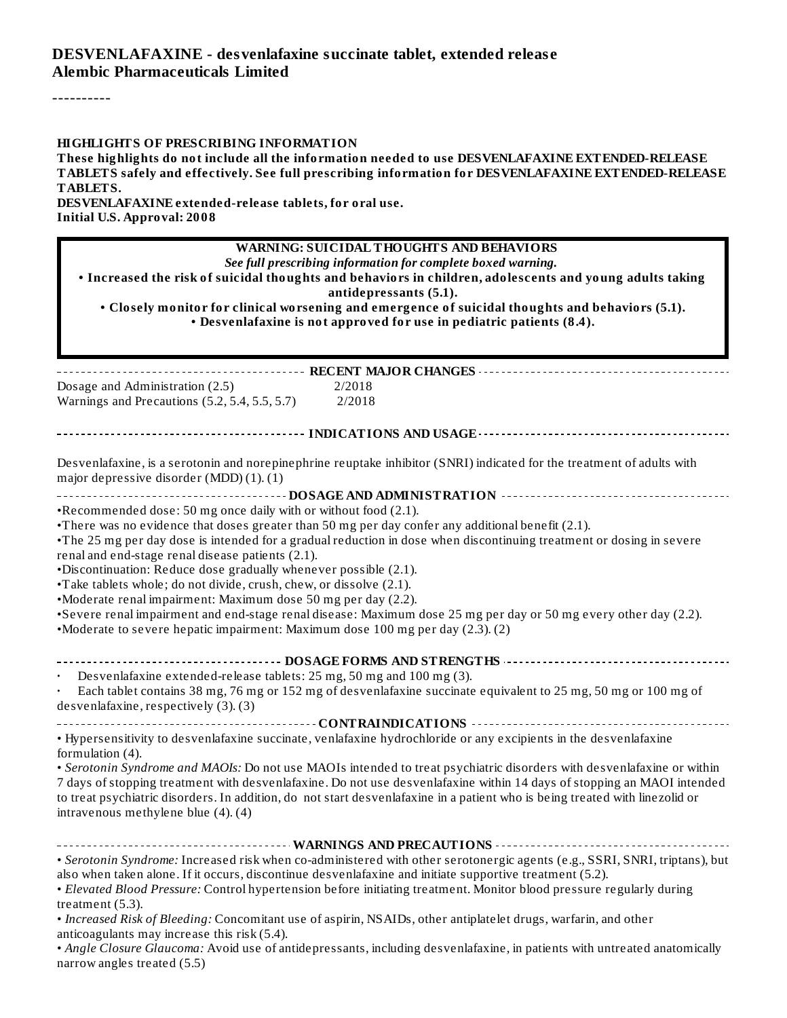#### **DESVENLAFAXINE - desvenlafaxine succinate tablet, extended releas e Alembic Pharmaceuticals Limited**

----------

#### **HIGHLIGHTS OF PRESCRIBING INFORMATION**

**These highlights do not include all the information needed to use DESVENLAFAXINE EXTENDED-RELEASE TABLETS safely and effectively. See full prescribing information for DESVENLAFAXINE EXTENDED-RELEASE TABLETS.**

**DESVENLAFAXINE extended-release tablets, for oral use. Initial U.S. Approval: 2008**

| <b>WARNING: SUICIDAL THOUGHTS AND BEHAVIORS</b><br>See full prescribing information for complete boxed warning.<br>. Increased the risk of suicidal thoughts and behaviors in children, adolescents and young adults taking<br>antidepressants (5.1).<br>. Closely monitor for clinical worsening and emergence of suicidal thoughts and behaviors (5.1).<br>· Desvenlafaxine is not approved for use in pediatric patients (8.4). |  |  |  |  |  |
|------------------------------------------------------------------------------------------------------------------------------------------------------------------------------------------------------------------------------------------------------------------------------------------------------------------------------------------------------------------------------------------------------------------------------------|--|--|--|--|--|
| Dosage and Administration (2.5)<br>2/2018<br>Warnings and Precautions (5.2, 5.4, 5.5, 5.7)<br>2/2018                                                                                                                                                                                                                                                                                                                               |  |  |  |  |  |
|                                                                                                                                                                                                                                                                                                                                                                                                                                    |  |  |  |  |  |
| Desvenlafaxine, is a serotonin and norepinephrine reuptake inhibitor (SNRI) indicated for the treatment of adults with<br>major depressive disorder (MDD) (1). (1)                                                                                                                                                                                                                                                                 |  |  |  |  |  |
|                                                                                                                                                                                                                                                                                                                                                                                                                                    |  |  |  |  |  |
| •Recommended dose: 50 mg once daily with or without food (2.1).                                                                                                                                                                                                                                                                                                                                                                    |  |  |  |  |  |
| •There was no evidence that doses greater than 50 mg per day confer any additional benefit (2.1).<br>•The 25 mg per day dose is intended for a gradual reduction in dose when discontinuing treatment or dosing in severe<br>renal and end-stage renal disease patients (2.1).<br>·Discontinuation: Reduce dose gradually whenever possible (2.1).                                                                                 |  |  |  |  |  |
| •Take tablets whole; do not divide, crush, chew, or dissolve (2.1).                                                                                                                                                                                                                                                                                                                                                                |  |  |  |  |  |
| •Moderate renal impairment: Maximum dose 50 mg per day (2.2).<br>•Severe renal impairment and end-stage renal disease: Maximum dose 25 mg per day or 50 mg every other day (2.2).<br>•Moderate to severe hepatic impairment: Maximum dose 100 mg per day (2.3). (2)                                                                                                                                                                |  |  |  |  |  |
| ------------------- DOSAGE FORMS AND STRENGTHS ---------------------------------<br>Desvenlafaxine extended-release tablets: 25 mg, 50 mg and 100 mg (3).<br>$\bullet$                                                                                                                                                                                                                                                             |  |  |  |  |  |
| Each tablet contains 38 mg, 76 mg or 152 mg of desvenlafaxine succinate equivalent to 25 mg, 50 mg or 100 mg of<br>desvenlafaxine, respectively (3). (3)                                                                                                                                                                                                                                                                           |  |  |  |  |  |
|                                                                                                                                                                                                                                                                                                                                                                                                                                    |  |  |  |  |  |
| • Hypersensitivity to desvenlafaxine succinate, venlafaxine hydrochloride or any excipients in the desvenlafaxine<br>formulation (4).                                                                                                                                                                                                                                                                                              |  |  |  |  |  |
| • Serotonin Syndrome and MAOIs: Do not use MAOIs intended to treat psychiatric disorders with desvenlafaxine or within<br>7 days of stopping treatment with desvenlafaxine. Do not use desvenlafaxine within 14 days of stopping an MAOI intended<br>to treat psychiatric disorders. In addition, do not start desvenlafaxine in a patient who is being treated with linezolid or<br>intravenous methylene blue (4). (4)           |  |  |  |  |  |
|                                                                                                                                                                                                                                                                                                                                                                                                                                    |  |  |  |  |  |
| · Serotonin Syndrome: Increased risk when co-administered with other serotonergic agents (e.g., SSRI, SNRI, triptans), but<br>also when taken alone. If it occurs, discontinue desvenlafaxine and initiate supportive treatment (5.2).<br>· Elevated Blood Pressure: Control hypertension before initiating treatment. Monitor blood pressure regularly during                                                                     |  |  |  |  |  |
| treatment $(5.3)$ .<br>· Increased Risk of Bleeding: Concomitant use of aspirin, NSAIDs, other antiplatelet drugs, warfarin, and other<br>anticoagulants may increase this risk (5.4).                                                                                                                                                                                                                                             |  |  |  |  |  |
| · Angle Closure Glaucoma: Avoid use of antidepressants, including desvenlafaxine, in patients with untreated anatomically<br>narrow angles treated (5.5)                                                                                                                                                                                                                                                                           |  |  |  |  |  |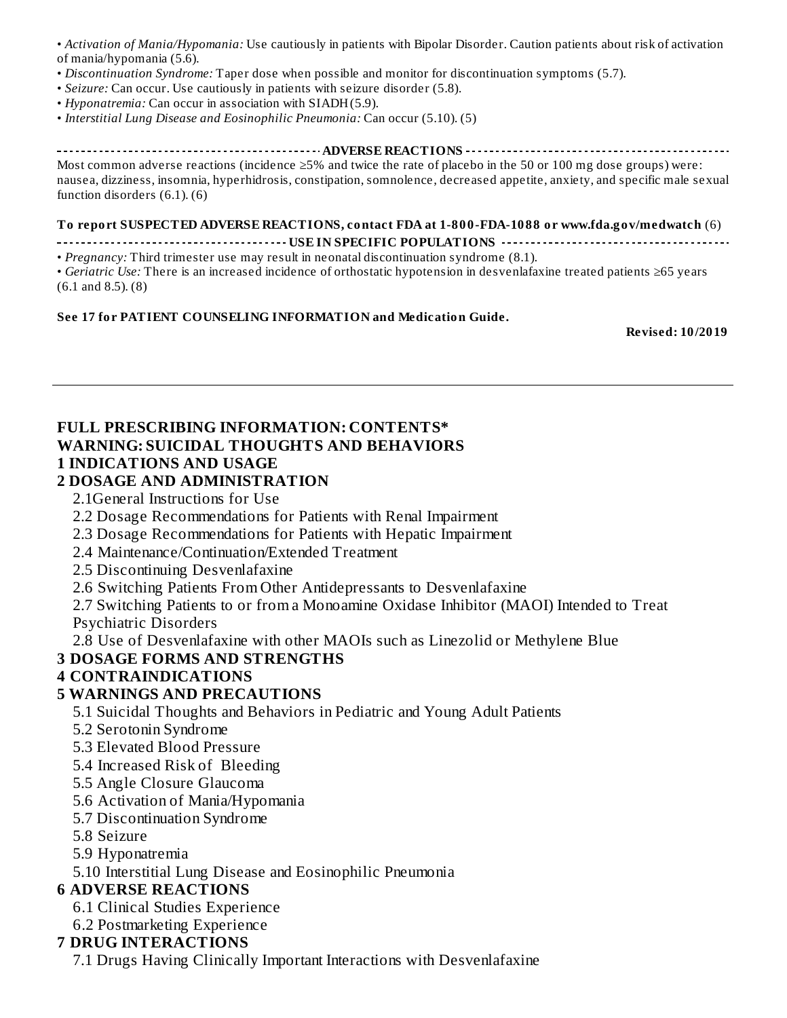• *Activation of Mania/Hypomania:* Use cautiously in patients with Bipolar Disorder. Caution patients about risk of activation of mania/hypomania (5.6).

- *Discontinuation Syndrome:* Taper dose when possible and monitor for discontinuation symptoms (5.7).
- *Seizure:* Can occur. Use cautiously in patients with seizure disorder (5.8).
- *Hyponatremia:* Can occur in association with SIADH(5.9).

• *Interstitial Lung Disease and Eosinophilic Pneumonia:* Can occur (5.10). (5)

**ADVERSE REACTIONS** Most common adverse reactions (incidence ≥5% and twice the rate of placebo in the 50 or 100 mg dose groups) were: nausea, dizziness, insomnia, hyperhidrosis, constipation, somnolence, decreased appetite, anxiety, and specific male sexual function disorders (6.1). (6)

#### **To report SUSPECTED ADVERSE REACTIONS, contact FDA at 1-800-FDA-1088 or www.fda.gov/medwatch** (6)

**USE IN SPECIFIC POPULATIONS**

• *Pregnancy:* Third trimester use may result in neonatal discontinuation syndrome (8.1).

• *Geriatric Use:* There is an increased incidence of orthostatic hypotension in desvenlafaxine treated patients ≥65 years (6.1 and 8.5). (8)

**See 17 for PATIENT COUNSELING INFORMATION and Medication Guide.**

**Revised: 10/2019**

#### **FULL PRESCRIBING INFORMATION: CONTENTS\* WARNING: SUICIDAL THOUGHTS AND BEHAVIORS 1 INDICATIONS AND USAGE**

#### **2 DOSAGE AND ADMINISTRATION**

2.1General Instructions for Use

2.2 Dosage Recommendations for Patients with Renal Impairment

2.3 Dosage Recommendations for Patients with Hepatic Impairment

2.4 Maintenance/Continuation/Extended Treatment

2.5 Discontinuing Desvenlafaxine

2.6 Switching Patients From Other Antidepressants to Desvenlafaxine

2.7 Switching Patients to or from a Monoamine Oxidase Inhibitor (MAOI) Intended to Treat Psychiatric Disorders

2.8 Use of Desvenlafaxine with other MAOIs such as Linezolid or Methylene Blue

#### **3 DOSAGE FORMS AND STRENGTHS**

**4 CONTRAINDICATIONS**

#### **5 WARNINGS AND PRECAUTIONS**

5.1 Suicidal Thoughts and Behaviors in Pediatric and Young Adult Patients

- 5.2 Serotonin Syndrome
- 5.3 Elevated Blood Pressure
- 5.4 Increased Risk of Bleeding
- 5.5 Angle Closure Glaucoma
- 5.6 Activation of Mania/Hypomania
- 5.7 Discontinuation Syndrome
- 5.8 Seizure
- 5.9 Hyponatremia

5.10 Interstitial Lung Disease and Eosinophilic Pneumonia

#### **6 ADVERSE REACTIONS**

6.1 Clinical Studies Experience

6.2 Postmarketing Experience

## **7 DRUG INTERACTIONS**

7.1 Drugs Having Clinically Important Interactions with Desvenlafaxine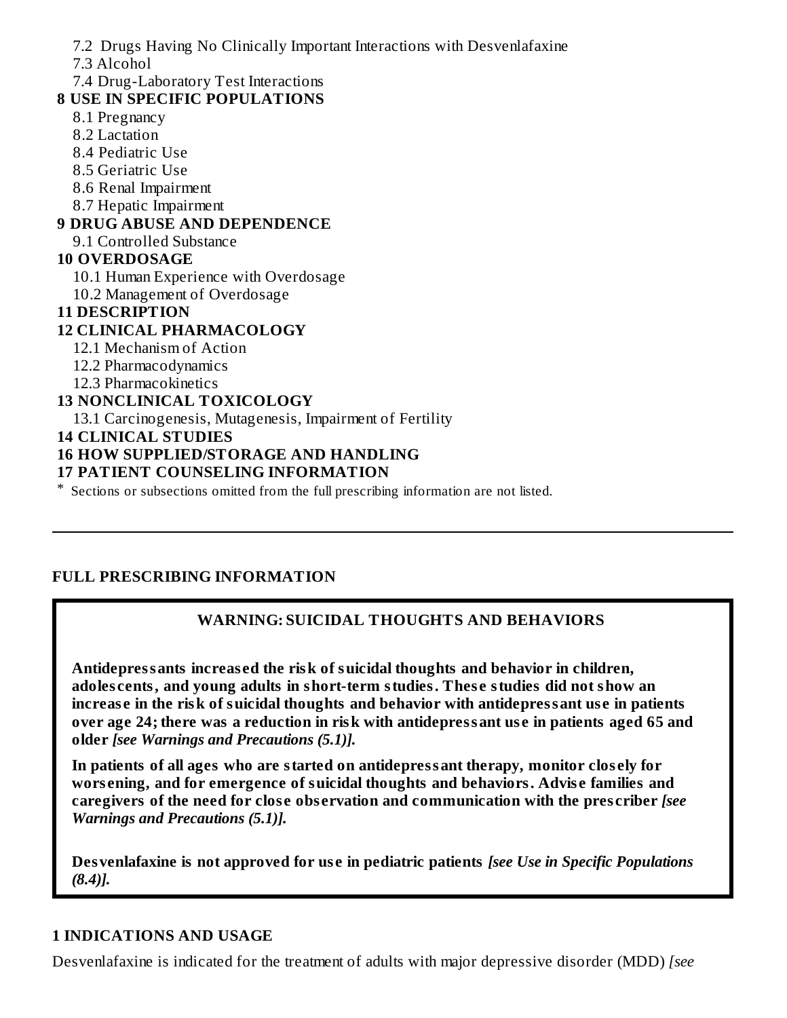7.2 Drugs Having No Clinically Important Interactions with Desvenlafaxine

7.3 Alcohol

7.4 Drug-Laboratory Test Interactions

## **8 USE IN SPECIFIC POPULATIONS**

- 8.1 Pregnancy
- 8.2 Lactation
- 8.4 Pediatric Use
- 8.5 Geriatric Use
- 8.6 Renal Impairment
- 8.7 Hepatic Impairment

## **9 DRUG ABUSE AND DEPENDENCE**

9.1 Controlled Substance

# **10 OVERDOSAGE**

- 10.1 Human Experience with Overdosage
- 10.2 Management of Overdosage

# **11 DESCRIPTION**

# **12 CLINICAL PHARMACOLOGY**

- 12.1 Mechanism of Action
- 12.2 Pharmacodynamics
- 12.3 Pharmacokinetics

# **13 NONCLINICAL TOXICOLOGY**

13.1 Carcinogenesis, Mutagenesis, Impairment of Fertility

## **14 CLINICAL STUDIES**

# **16 HOW SUPPLIED/STORAGE AND HANDLING**

## **17 PATIENT COUNSELING INFORMATION**

\* Sections or subsections omitted from the full prescribing information are not listed.

# **FULL PRESCRIBING INFORMATION**

# **WARNING: SUICIDAL THOUGHTS AND BEHAVIORS**

**Antidepressants increas ed the risk of suicidal thoughts and behavior in children, adoles cents, and young adults in short-term studies. Thes e studies did not show an increas e in the risk of suicidal thoughts and behavior with antidepressant us e in patients over age 24; there was a reduction in risk with antidepressant us e in patients aged 65 and older** *[see Warnings and Precautions (5.1)].*

**In patients of all ages who are started on antidepressant therapy, monitor clos ely for wors ening, and for emergence of suicidal thoughts and behaviors. Advis e families and caregivers of the need for clos e obs ervation and communication with the pres criber** *[see Warnings and Precautions (5.1)].*

**Desvenlafaxine is not approved for us e in pediatric patients** *[see Use in Specific Populations (8.4)].*

# **1 INDICATIONS AND USAGE**

Desvenlafaxine is indicated for the treatment of adults with major depressive disorder (MDD) *[see*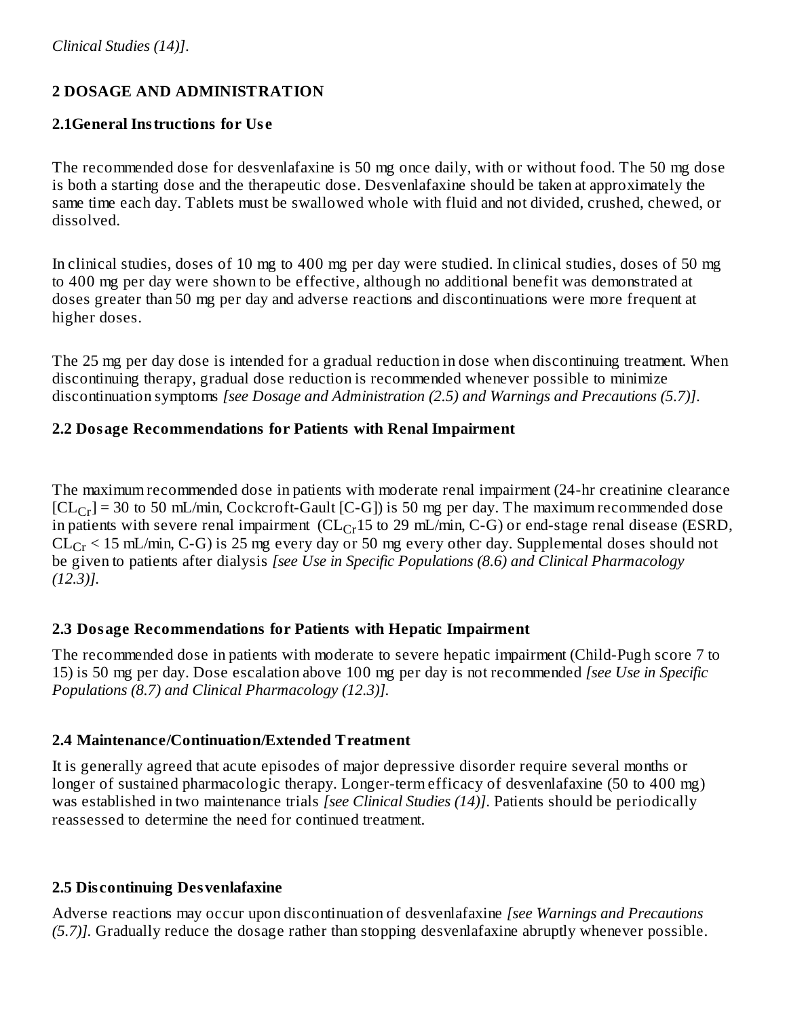# **2 DOSAGE AND ADMINISTRATION**

# **2.1General Instructions for Us e**

The recommended dose for desvenlafaxine is 50 mg once daily, with or without food. The 50 mg dose is both a starting dose and the therapeutic dose. Desvenlafaxine should be taken at approximately the same time each day. Tablets must be swallowed whole with fluid and not divided, crushed, chewed, or dissolved.

In clinical studies, doses of 10 mg to 400 mg per day were studied. In clinical studies, doses of 50 mg to 400 mg per day were shown to be effective, although no additional benefit was demonstrated at doses greater than 50 mg per day and adverse reactions and discontinuations were more frequent at higher doses.

The 25 mg per day dose is intended for a gradual reduction in dose when discontinuing treatment. When discontinuing therapy, gradual dose reduction is recommended whenever possible to minimize discontinuation symptoms *[see Dosage and Administration (2.5) and Warnings and Precautions (5.7)]*.

# **2.2 Dosage Recommendations for Patients with Renal Impairment**

The maximum recommended dose in patients with moderate renal impairment (24-hr creatinine clearance  $[CL<sub>Cr</sub>] = 30$  to 50 mL/min, Cockcroft-Gault [C-G]) is 50 mg per day. The maximum recommended dose in patients with severe renal impairment  ${\rm (CL_{Cr}15}$  to 29 mL/min, C-G) or end-stage renal disease (ESRD,  $\mathsf{CL}_{\mathsf{Cr}}$  < 15 mL/min, C-G) is 25 mg every day or 50 mg every other day. Supplemental doses should not be given to patients after dialysis *[see Use in Specific Populations (8.6) and Clinical Pharmacology (12.3)].*

# **2.3 Dosage Recommendations for Patients with Hepatic Impairment**

The recommended dose in patients with moderate to severe hepatic impairment (Child-Pugh score 7 to 15) is 50 mg per day. Dose escalation above 100 mg per day is not recommended *[see Use in Specific Populations (8.7) and Clinical Pharmacology (12.3)].*

# **2.4 Maintenance/Continuation/Extended Treatment**

It is generally agreed that acute episodes of major depressive disorder require several months or longer of sustained pharmacologic therapy. Longer-term efficacy of desvenlafaxine (50 to 400 mg) was established in two maintenance trials *[see Clinical Studies (14)]*. Patients should be periodically reassessed to determine the need for continued treatment.

# **2.5 Dis continuing Desvenlafaxine**

Adverse reactions may occur upon discontinuation of desvenlafaxine *[see Warnings and Precautions (5.7)].* Gradually reduce the dosage rather than stopping desvenlafaxine abruptly whenever possible.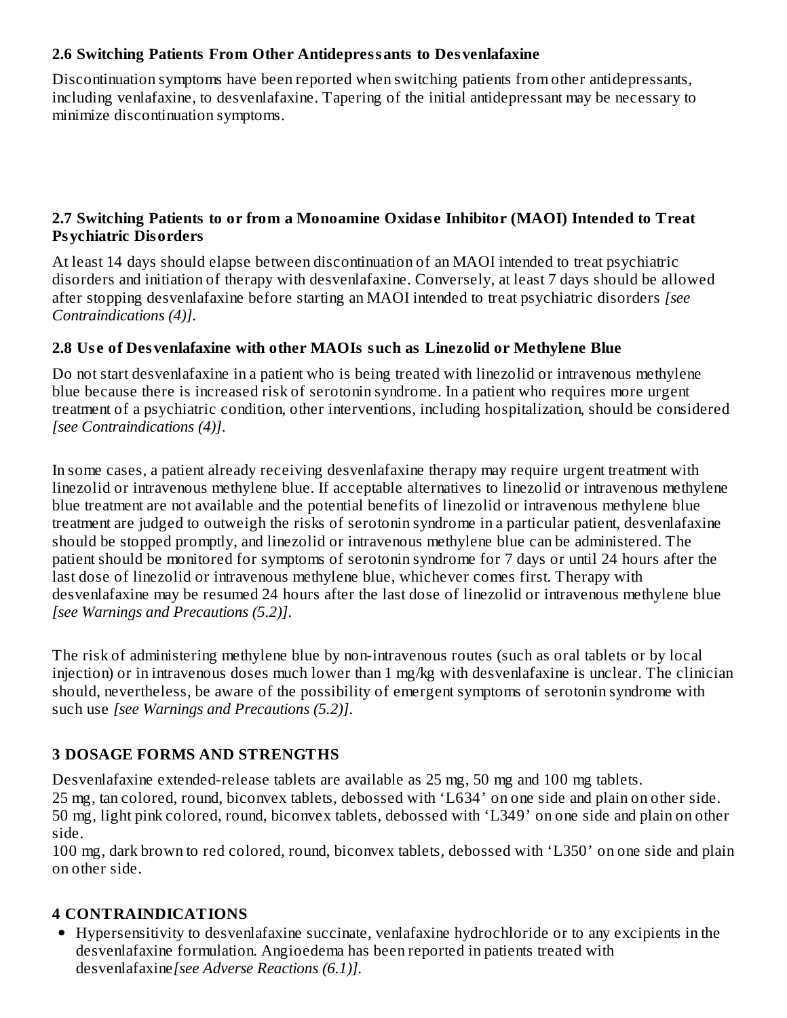## **2.6 Switching Patients From Other Antidepressants to Desvenlafaxine**

Discontinuation symptoms have been reported when switching patients from other antidepressants, including venlafaxine, to desvenlafaxine. Tapering of the initial antidepressant may be necessary to minimize discontinuation symptoms.

## **2.7 Switching Patients to or from a Monoamine Oxidas e Inhibitor (MAOI) Intended to Treat Psychiatric Disorders**

At least 14 days should elapse between discontinuation of an MAOI intended to treat psychiatric disorders and initiation of therapy with desvenlafaxine. Conversely, at least 7 days should be allowed after stopping desvenlafaxine before starting an MAOI intended to treat psychiatric disorders *[see Contraindications (4)]*.

## **2.8 Us e of Desvenlafaxine with other MAOIs such as Linezolid or Methylene Blue**

Do not start desvenlafaxine in a patient who is being treated with linezolid or intravenous methylene blue because there is increased risk of serotonin syndrome. In a patient who requires more urgent treatment of a psychiatric condition, other interventions, including hospitalization, should be considered *[see Contraindications (4)]*.

In some cases, a patient already receiving desvenlafaxine therapy may require urgent treatment with linezolid or intravenous methylene blue. If acceptable alternatives to linezolid or intravenous methylene blue treatment are not available and the potential benefits of linezolid or intravenous methylene blue treatment are judged to outweigh the risks of serotonin syndrome in a particular patient, desvenlafaxine should be stopped promptly, and linezolid or intravenous methylene blue can be administered. The patient should be monitored for symptoms of serotonin syndrome for 7 days or until 24 hours after the last dose of linezolid or intravenous methylene blue, whichever comes first. Therapy with desvenlafaxine may be resumed 24 hours after the last dose of linezolid or intravenous methylene blue *[see Warnings and Precautions (5.2)]*.

The risk of administering methylene blue by non-intravenous routes (such as oral tablets or by local injection) or in intravenous doses much lower than 1 mg/kg with desvenlafaxine is unclear. The clinician should, nevertheless, be aware of the possibility of emergent symptoms of serotonin syndrome with such use *[see Warnings and Precautions (5.2)]*.

# **3 DOSAGE FORMS AND STRENGTHS**

Desvenlafaxine extended-release tablets are available as 25 mg, 50 mg and 100 mg tablets. 25 mg, tan colored, round, biconvex tablets, debossed with 'L634' on one side and plain on other side. 50 mg, light pink colored, round, biconvex tablets, debossed with 'L349' on one side and plain on other side.

100 mg, dark brown to red colored, round, biconvex tablets, debossed with 'L350' on one side and plain on other side.

# **4 CONTRAINDICATIONS**

Hypersensitivity to desvenlafaxine succinate, venlafaxine hydrochloride or to any excipients in the desvenlafaxine formulation. Angioedema has been reported in patients treated with desvenlafaxine*[see Adverse Reactions (6.1)]*.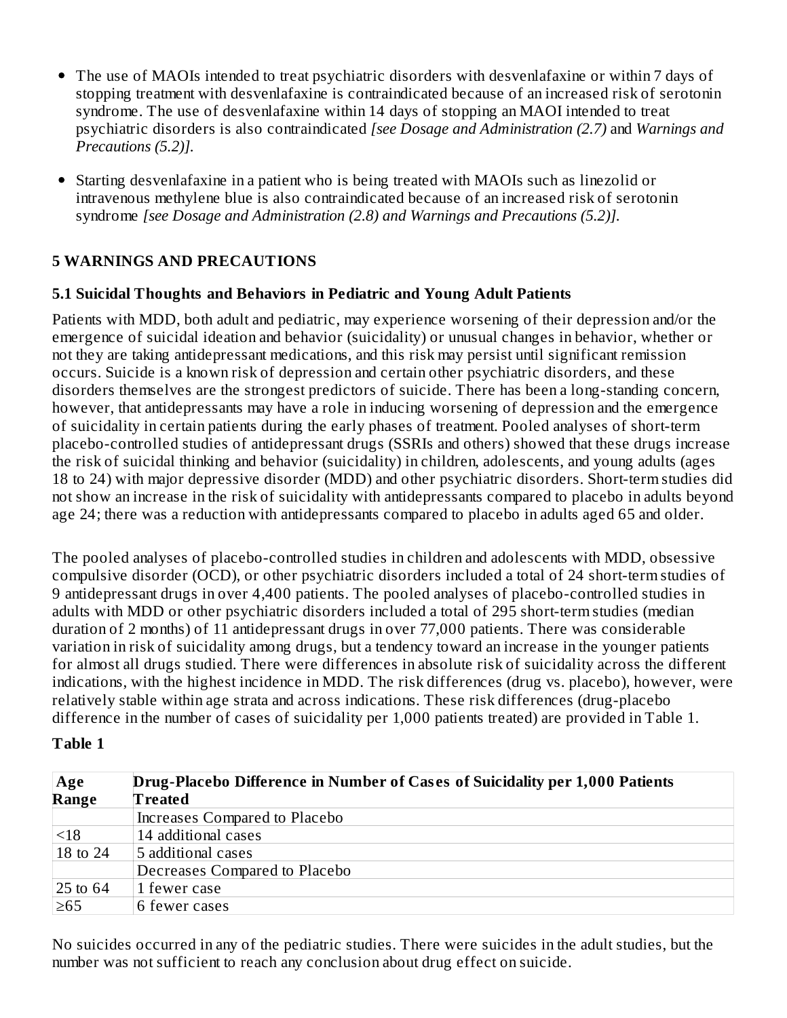- The use of MAOIs intended to treat psychiatric disorders with desvenlafaxine or within 7 days of  $\bullet$ stopping treatment with desvenlafaxine is contraindicated because of an increased risk of serotonin syndrome. The use of desvenlafaxine within 14 days of stopping an MAOI intended to treat psychiatric disorders is also contraindicated *[see Dosage and Administration (2.7)* and *Warnings and Precautions (5.2)].*
- Starting desvenlafaxine in a patient who is being treated with MAOIs such as linezolid or intravenous methylene blue is also contraindicated because of an increased risk of serotonin syndrome *[see Dosage and Administration (2.8) and Warnings and Precautions (5.2)].*

# **5 WARNINGS AND PRECAUTIONS**

## **5.1 Suicidal Thoughts and Behaviors in Pediatric and Young Adult Patients**

Patients with MDD, both adult and pediatric, may experience worsening of their depression and/or the emergence of suicidal ideation and behavior (suicidality) or unusual changes in behavior, whether or not they are taking antidepressant medications, and this risk may persist until significant remission occurs. Suicide is a known risk of depression and certain other psychiatric disorders, and these disorders themselves are the strongest predictors of suicide. There has been a long-standing concern, however, that antidepressants may have a role in inducing worsening of depression and the emergence of suicidality in certain patients during the early phases of treatment. Pooled analyses of short-term placebo-controlled studies of antidepressant drugs (SSRIs and others) showed that these drugs increase the risk of suicidal thinking and behavior (suicidality) in children, adolescents, and young adults (ages 18 to 24) with major depressive disorder (MDD) and other psychiatric disorders. Short-term studies did not show an increase in the risk of suicidality with antidepressants compared to placebo in adults beyond age 24; there was a reduction with antidepressants compared to placebo in adults aged 65 and older.

The pooled analyses of placebo-controlled studies in children and adolescents with MDD, obsessive compulsive disorder (OCD), or other psychiatric disorders included a total of 24 short-term studies of 9 antidepressant drugs in over 4,400 patients. The pooled analyses of placebo-controlled studies in adults with MDD or other psychiatric disorders included a total of 295 short-term studies (median duration of 2 months) of 11 antidepressant drugs in over 77,000 patients. There was considerable variation in risk of suicidality among drugs, but a tendency toward an increase in the younger patients for almost all drugs studied. There were differences in absolute risk of suicidality across the different indications, with the highest incidence in MDD. The risk differences (drug vs. placebo), however, were relatively stable within age strata and across indications. These risk differences (drug-placebo difference in the number of cases of suicidality per 1,000 patients treated) are provided in Table 1.

#### **Table 1**

| Age       | Drug-Placebo Difference in Number of Cases of Suicidality per 1,000 Patients |
|-----------|------------------------------------------------------------------------------|
| Range     | <b>Treated</b>                                                               |
|           | Increases Compared to Placebo                                                |
| < 18      | 14 additional cases                                                          |
| 18 to 24  | 5 additional cases                                                           |
|           | Decreases Compared to Placebo                                                |
| 25 to 64  | 1 fewer case                                                                 |
| $\geq 65$ | 6 fewer cases                                                                |

No suicides occurred in any of the pediatric studies. There were suicides in the adult studies, but the number was not sufficient to reach any conclusion about drug effect on suicide.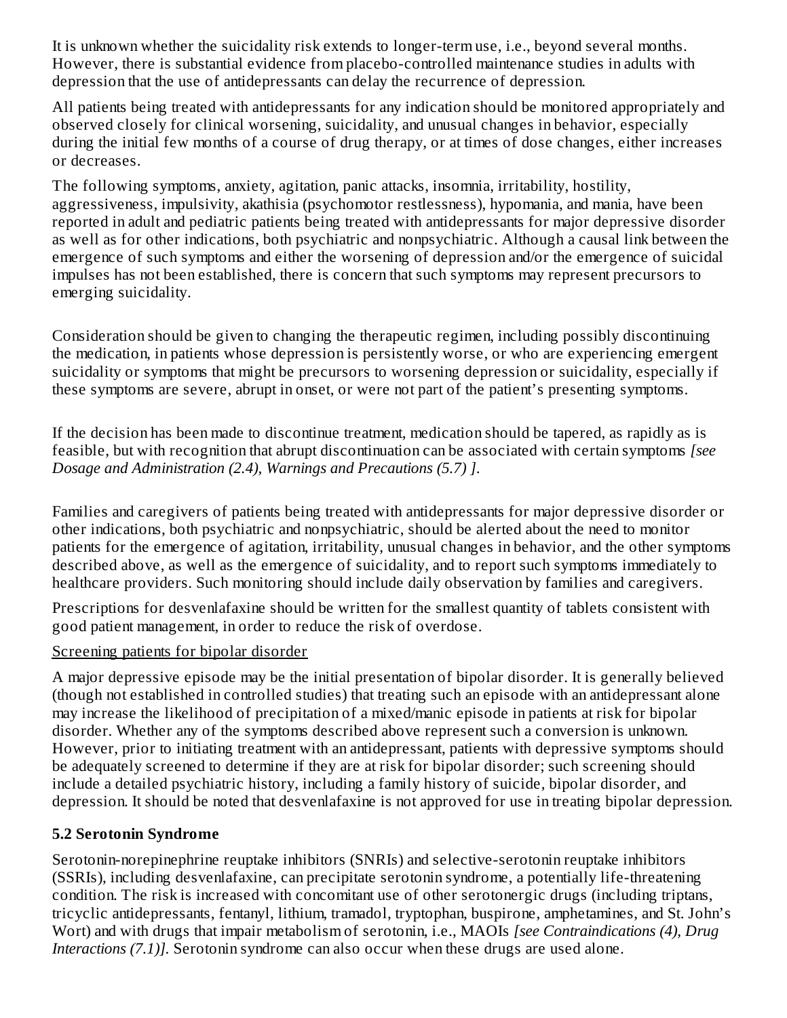It is unknown whether the suicidality risk extends to longer-term use, i.e., beyond several months. However, there is substantial evidence from placebo-controlled maintenance studies in adults with depression that the use of antidepressants can delay the recurrence of depression.

All patients being treated with antidepressants for any indication should be monitored appropriately and observed closely for clinical worsening, suicidality, and unusual changes in behavior, especially during the initial few months of a course of drug therapy, or at times of dose changes, either increases or decreases.

The following symptoms, anxiety, agitation, panic attacks, insomnia, irritability, hostility, aggressiveness, impulsivity, akathisia (psychomotor restlessness), hypomania, and mania, have been reported in adult and pediatric patients being treated with antidepressants for major depressive disorder as well as for other indications, both psychiatric and nonpsychiatric. Although a causal link between the emergence of such symptoms and either the worsening of depression and/or the emergence of suicidal impulses has not been established, there is concern that such symptoms may represent precursors to emerging suicidality.

Consideration should be given to changing the therapeutic regimen, including possibly discontinuing the medication, in patients whose depression is persistently worse, or who are experiencing emergent suicidality or symptoms that might be precursors to worsening depression or suicidality, especially if these symptoms are severe, abrupt in onset, or were not part of the patient's presenting symptoms.

If the decision has been made to discontinue treatment, medication should be tapered, as rapidly as is feasible, but with recognition that abrupt discontinuation can be associated with certain symptoms *[see Dosage and Administration (2.4), Warnings and Precautions (5.7) ]*.

Families and caregivers of patients being treated with antidepressants for major depressive disorder or other indications, both psychiatric and nonpsychiatric, should be alerted about the need to monitor patients for the emergence of agitation, irritability, unusual changes in behavior, and the other symptoms described above, as well as the emergence of suicidality, and to report such symptoms immediately to healthcare providers. Such monitoring should include daily observation by families and caregivers.

Prescriptions for desvenlafaxine should be written for the smallest quantity of tablets consistent with good patient management, in order to reduce the risk of overdose.

## Screening patients for bipolar disorder

A major depressive episode may be the initial presentation of bipolar disorder. It is generally believed (though not established in controlled studies) that treating such an episode with an antidepressant alone may increase the likelihood of precipitation of a mixed/manic episode in patients at risk for bipolar disorder. Whether any of the symptoms described above represent such a conversion is unknown. However, prior to initiating treatment with an antidepressant, patients with depressive symptoms should be adequately screened to determine if they are at risk for bipolar disorder; such screening should include a detailed psychiatric history, including a family history of suicide, bipolar disorder, and depression. It should be noted that desvenlafaxine is not approved for use in treating bipolar depression.

# **5.2 Serotonin Syndrome**

Serotonin-norepinephrine reuptake inhibitors (SNRIs) and selective-serotonin reuptake inhibitors (SSRIs), including desvenlafaxine, can precipitate serotonin syndrome, a potentially life-threatening condition. The risk is increased with concomitant use of other serotonergic drugs (including triptans, tricyclic antidepressants, fentanyl, lithium, tramadol, tryptophan, buspirone, amphetamines, and St. John's Wort) and with drugs that impair metabolism of serotonin, i.e., MAOIs *[see Contraindications (4), Drug Interactions (7.1)].* Serotonin syndrome can also occur when these drugs are used alone.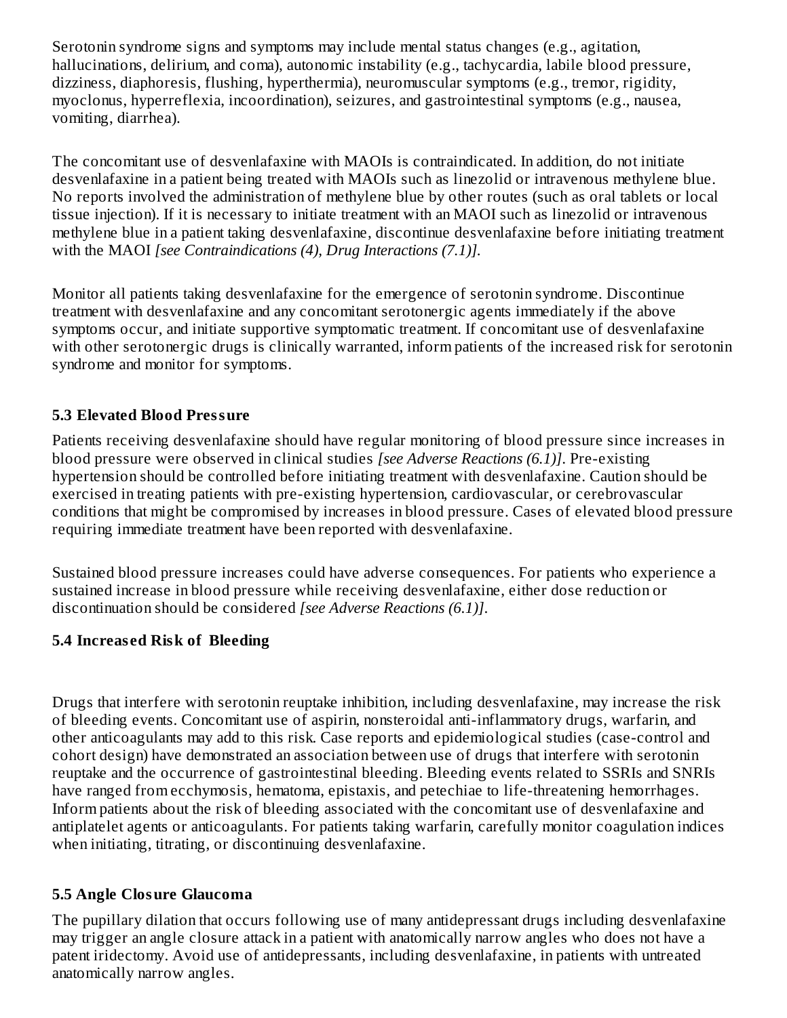Serotonin syndrome signs and symptoms may include mental status changes (e.g., agitation, hallucinations, delirium, and coma), autonomic instability (e.g., tachycardia, labile blood pressure, dizziness, diaphoresis, flushing, hyperthermia), neuromuscular symptoms (e.g., tremor, rigidity, myoclonus, hyperreflexia, incoordination), seizures, and gastrointestinal symptoms (e.g., nausea, vomiting, diarrhea).

The concomitant use of desvenlafaxine with MAOIs is contraindicated. In addition, do not initiate desvenlafaxine in a patient being treated with MAOIs such as linezolid or intravenous methylene blue. No reports involved the administration of methylene blue by other routes (such as oral tablets or local tissue injection). If it is necessary to initiate treatment with an MAOI such as linezolid or intravenous methylene blue in a patient taking desvenlafaxine, discontinue desvenlafaxine before initiating treatment with the MAOI *[see Contraindications (4), Drug Interactions (7.1)].*

Monitor all patients taking desvenlafaxine for the emergence of serotonin syndrome. Discontinue treatment with desvenlafaxine and any concomitant serotonergic agents immediately if the above symptoms occur, and initiate supportive symptomatic treatment. If concomitant use of desvenlafaxine with other serotonergic drugs is clinically warranted, inform patients of the increased risk for serotonin syndrome and monitor for symptoms.

## **5.3 Elevated Blood Pressure**

Patients receiving desvenlafaxine should have regular monitoring of blood pressure since increases in blood pressure were observed in clinical studies *[see Adverse Reactions (6.1)]*. Pre-existing hypertension should be controlled before initiating treatment with desvenlafaxine. Caution should be exercised in treating patients with pre-existing hypertension, cardiovascular, or cerebrovascular conditions that might be compromised by increases in blood pressure. Cases of elevated blood pressure requiring immediate treatment have been reported with desvenlafaxine.

Sustained blood pressure increases could have adverse consequences. For patients who experience a sustained increase in blood pressure while receiving desvenlafaxine, either dose reduction or discontinuation should be considered *[see Adverse Reactions (6.1)]*.

## **5.4 Increas ed Risk of Bleeding**

Drugs that interfere with serotonin reuptake inhibition, including desvenlafaxine, may increase the risk of bleeding events. Concomitant use of aspirin, nonsteroidal anti-inflammatory drugs, warfarin, and other anticoagulants may add to this risk. Case reports and epidemiological studies (case-control and cohort design) have demonstrated an association between use of drugs that interfere with serotonin reuptake and the occurrence of gastrointestinal bleeding. Bleeding events related to SSRIs and SNRIs have ranged from ecchymosis, hematoma, epistaxis, and petechiae to life-threatening hemorrhages. Inform patients about the risk of bleeding associated with the concomitant use of desvenlafaxine and antiplatelet agents or anticoagulants. For patients taking warfarin, carefully monitor coagulation indices when initiating, titrating, or discontinuing desvenlafaxine.

# **5.5 Angle Closure Glaucoma**

The pupillary dilation that occurs following use of many antidepressant drugs including desvenlafaxine may trigger an angle closure attack in a patient with anatomically narrow angles who does not have a patent iridectomy. Avoid use of antidepressants, including desvenlafaxine, in patients with untreated anatomically narrow angles.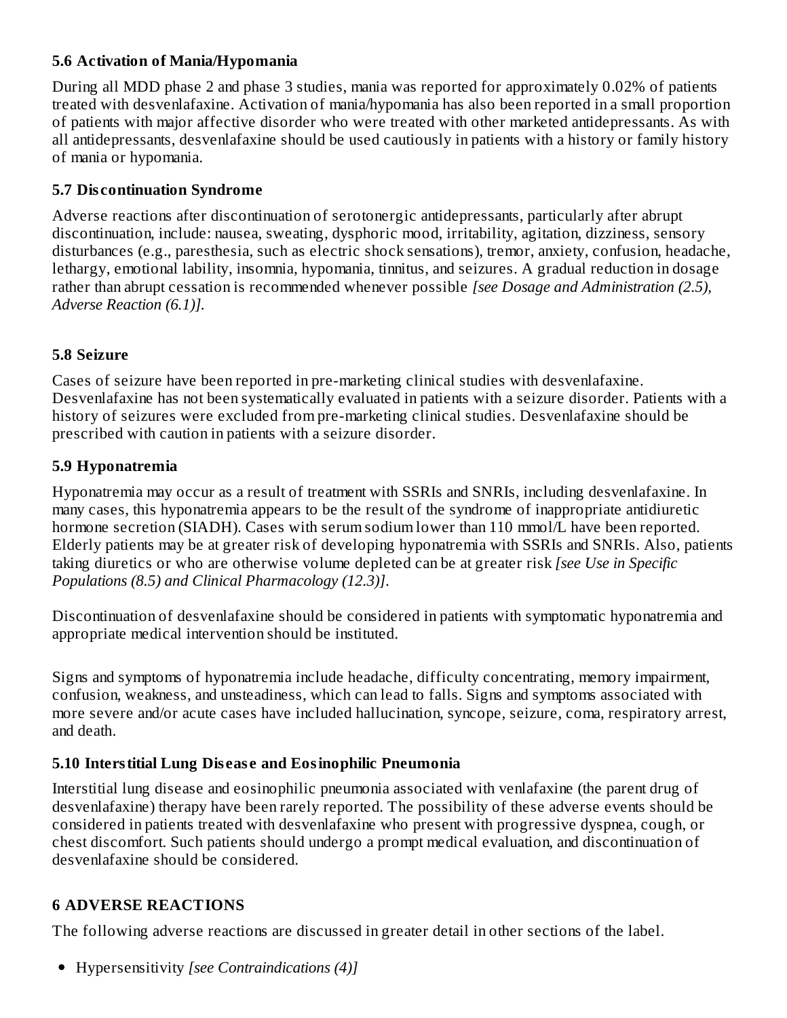## **5.6 Activation of Mania/Hypomania**

During all MDD phase 2 and phase 3 studies, mania was reported for approximately 0.02% of patients treated with desvenlafaxine. Activation of mania/hypomania has also been reported in a small proportion of patients with major affective disorder who were treated with other marketed antidepressants. As with all antidepressants, desvenlafaxine should be used cautiously in patients with a history or family history of mania or hypomania.

## **5.7 Dis continuation Syndrome**

Adverse reactions after discontinuation of serotonergic antidepressants, particularly after abrupt discontinuation, include: nausea, sweating, dysphoric mood, irritability, agitation, dizziness, sensory disturbances (e.g., paresthesia, such as electric shock sensations), tremor, anxiety, confusion, headache, lethargy, emotional lability, insomnia, hypomania, tinnitus, and seizures. A gradual reduction in dosage rather than abrupt cessation is recommended whenever possible *[see Dosage and Administration (2.5), Adverse Reaction (6.1)].*

## **5.8 Seizure**

Cases of seizure have been reported in pre-marketing clinical studies with desvenlafaxine. Desvenlafaxine has not been systematically evaluated in patients with a seizure disorder. Patients with a history of seizures were excluded from pre-marketing clinical studies. Desvenlafaxine should be prescribed with caution in patients with a seizure disorder.

## **5.9 Hyponatremia**

Hyponatremia may occur as a result of treatment with SSRIs and SNRIs, including desvenlafaxine. In many cases, this hyponatremia appears to be the result of the syndrome of inappropriate antidiuretic hormone secretion (SIADH). Cases with serum sodium lower than 110 mmol/L have been reported. Elderly patients may be at greater risk of developing hyponatremia with SSRIs and SNRIs. Also, patients taking diuretics or who are otherwise volume depleted can be at greater risk *[see Use in Specific Populations (8.5) and Clinical Pharmacology (12.3)]*.

Discontinuation of desvenlafaxine should be considered in patients with symptomatic hyponatremia and appropriate medical intervention should be instituted.

Signs and symptoms of hyponatremia include headache, difficulty concentrating, memory impairment, confusion, weakness, and unsteadiness, which can lead to falls. Signs and symptoms associated with more severe and/or acute cases have included hallucination, syncope, seizure, coma, respiratory arrest, and death.

# **5.10 Interstitial Lung Dis eas e and Eosinophilic Pneumonia**

Interstitial lung disease and eosinophilic pneumonia associated with venlafaxine (the parent drug of desvenlafaxine) therapy have been rarely reported. The possibility of these adverse events should be considered in patients treated with desvenlafaxine who present with progressive dyspnea, cough, or chest discomfort. Such patients should undergo a prompt medical evaluation, and discontinuation of desvenlafaxine should be considered.

## **6 ADVERSE REACTIONS**

The following adverse reactions are discussed in greater detail in other sections of the label.

Hypersensitivity *[see Contraindications (4)]*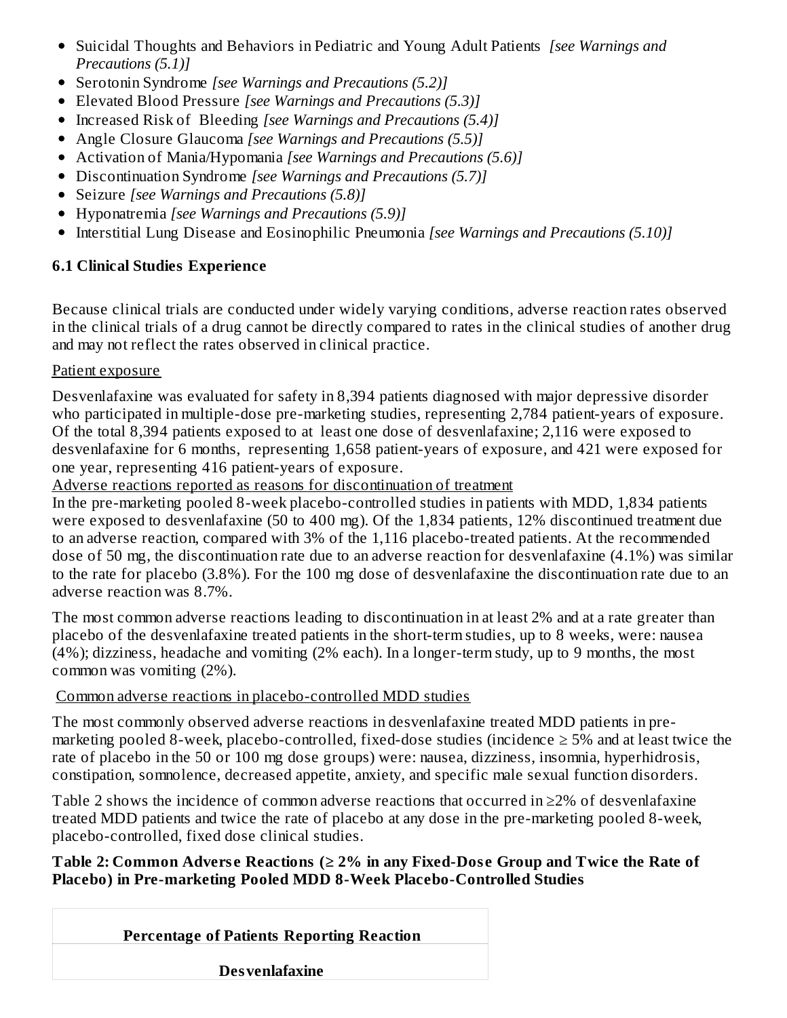- Suicidal Thoughts and Behaviors in Pediatric and Young Adult Patients *[see Warnings and Precautions (5.1)]*
- Serotonin Syndrome *[see Warnings and Precautions (5.2)]*
- Elevated Blood Pressure *[see Warnings and Precautions (5.3)]*
- Increased Risk of Bleeding *[see Warnings and Precautions (5.4)]*
- Angle Closure Glaucoma *[see Warnings and Precautions (5.5)]*
- Activation of Mania/Hypomania *[see Warnings and Precautions (5.6)]*
- Discontinuation Syndrome *[see Warnings and Precautions (5.7)]*
- Seizure *[see Warnings and Precautions (5.8)]*
- Hyponatremia *[see Warnings and Precautions (5.9)]*
- Interstitial Lung Disease and Eosinophilic Pneumonia *[see Warnings and Precautions (5.10)]*

# **6.1 Clinical Studies Experience**

Because clinical trials are conducted under widely varying conditions, adverse reaction rates observed in the clinical trials of a drug cannot be directly compared to rates in the clinical studies of another drug and may not reflect the rates observed in clinical practice.

# Patient exposure

Desvenlafaxine was evaluated for safety in 8,394 patients diagnosed with major depressive disorder who participated in multiple-dose pre-marketing studies, representing 2,784 patient-years of exposure. Of the total 8,394 patients exposed to at least one dose of desvenlafaxine; 2,116 were exposed to desvenlafaxine for 6 months, representing 1,658 patient-years of exposure, and 421 were exposed for one year, representing 416 patient-years of exposure.

Adverse reactions reported as reasons for discontinuation of treatment

In the pre-marketing pooled 8-week placebo-controlled studies in patients with MDD, 1,834 patients were exposed to desvenlafaxine (50 to 400 mg). Of the 1,834 patients, 12% discontinued treatment due to an adverse reaction, compared with 3% of the 1,116 placebo-treated patients. At the recommended dose of 50 mg, the discontinuation rate due to an adverse reaction for desvenlafaxine (4.1%) was similar to the rate for placebo (3.8%). For the 100 mg dose of desvenlafaxine the discontinuation rate due to an adverse reaction was 8.7%.

The most common adverse reactions leading to discontinuation in at least 2% and at a rate greater than placebo of the desvenlafaxine treated patients in the short-term studies, up to 8 weeks, were: nausea (4%); dizziness, headache and vomiting (2% each). In a longer-term study, up to 9 months, the most common was vomiting (2%).

# Common adverse reactions in placebo-controlled MDD studies

The most commonly observed adverse reactions in desvenlafaxine treated MDD patients in premarketing pooled 8-week, placebo-controlled, fixed-dose studies (incidence  $\geq$  5% and at least twice the rate of placebo in the 50 or 100 mg dose groups) were: nausea, dizziness, insomnia, hyperhidrosis, constipation, somnolence, decreased appetite, anxiety, and specific male sexual function disorders.

Table 2 shows the incidence of common adverse reactions that occurred in  $\geq$ % of desvenlafaxine treated MDD patients and twice the rate of placebo at any dose in the pre-marketing pooled 8-week, placebo-controlled, fixed dose clinical studies.

# **Table 2: Common Advers e Reactions (≥ 2% in any Fixed-Dos e Group and Twice the Rate of Placebo) in Pre-marketing Pooled MDD 8-Week Placebo-Controlled Studies**

**Percentage of Patients Reporting Reaction**

**Desvenlafaxine**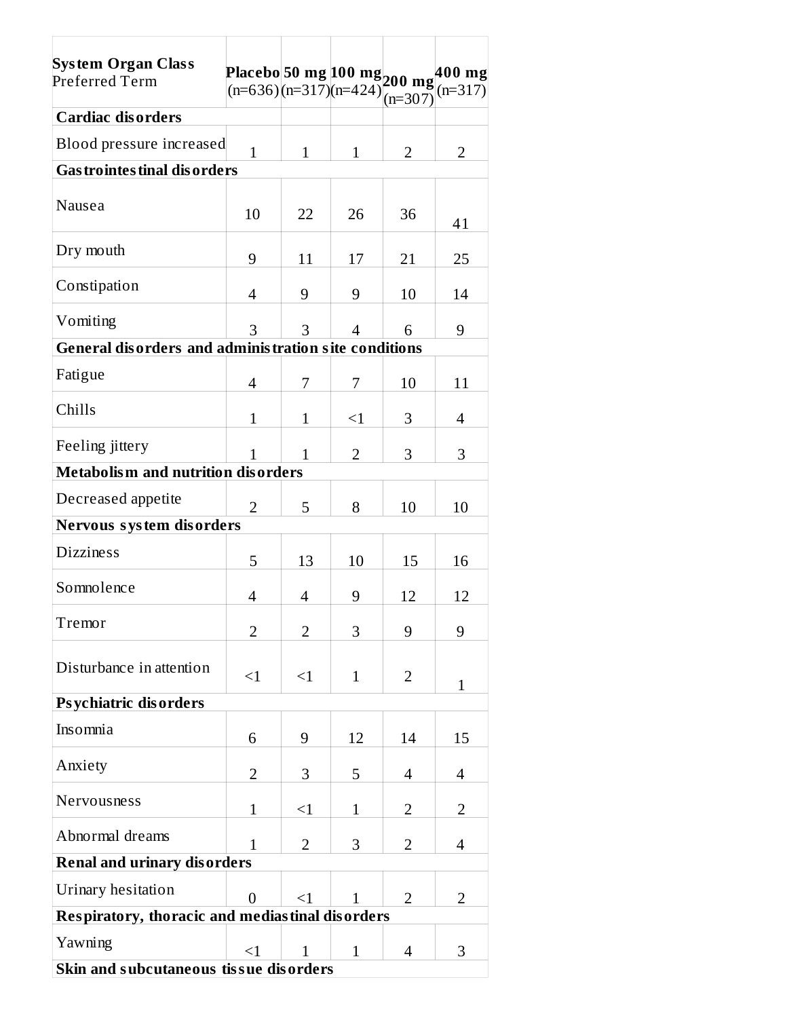| <b>System Organ Class</b><br>Preferred Term<br><b>Cardiac disorders</b> | Placebo 50 mg 100 mg 200 mg<br>(n=636)(n=317)(n=424) |                |                | $(n=307)$      | 400 mg<br>$(n=317)$ |  |
|-------------------------------------------------------------------------|------------------------------------------------------|----------------|----------------|----------------|---------------------|--|
| Blood pressure increased                                                | 1                                                    | $\mathbf{1}$   | $\mathbf{1}$   | $\overline{2}$ | 2                   |  |
| <b>Gas trointes tinal dis orders</b>                                    |                                                      |                |                |                |                     |  |
| Nausea                                                                  | 10                                                   | 22             | 26             | 36             | 41                  |  |
| Dry mouth                                                               | 9                                                    | 11             | 17             | 21             | 25                  |  |
| Constipation                                                            | 4                                                    | 9              | 9              | 10             | 14                  |  |
| Vomiting                                                                | 3                                                    | 3              | 4              | 6              | 9                   |  |
| <b>General disorders and administration site conditions</b>             |                                                      |                |                |                |                     |  |
| Fatigue                                                                 | 4                                                    | 7              | 7              | 10             | 11                  |  |
| Chills                                                                  | 1                                                    | 1              | $<$ 1          | 3              | 4                   |  |
| Feeling jittery                                                         |                                                      | 1              | $\overline{2}$ | 3              | 3                   |  |
| <b>Metabolism and nutrition disorders</b>                               |                                                      |                |                |                |                     |  |
| Decreased appetite                                                      | $\overline{2}$                                       | 5              | 8              | 10             | 10                  |  |
| Nervous system disorders                                                |                                                      |                |                |                |                     |  |
| <b>Dizziness</b>                                                        | 5                                                    | 13             | 10             | 15             | 16                  |  |
| Somnolence                                                              | 4                                                    | $\overline{4}$ | 9              | 12             | 12                  |  |
| Tremor                                                                  | 2                                                    | 2              | 3              | 9              | 9                   |  |
| Disturbance in attention                                                | $<$ 1                                                | $\leq$ 1       | $\mathbf{1}$   | $\overline{2}$ | $\mathbf{1}$        |  |
| Psychiatric disorders                                                   |                                                      |                |                |                |                     |  |
| Insomnia                                                                | 6                                                    | 9              | 12             | 14             | 15                  |  |
| Anxiety                                                                 | 2                                                    | 3              | 5              | 4              | 4                   |  |
| <b>Nervousness</b>                                                      | $\mathbf{1}$                                         | $\leq$ 1       | 1              | $\overline{2}$ | 2                   |  |
| Abnormal dreams                                                         | 1                                                    | 2              | 3              | 2              | 4                   |  |
| <b>Renal and urinary disorders</b>                                      |                                                      |                |                |                |                     |  |
| Urinary hesitation                                                      | $\theta$                                             | <1             | 1              | 2              | 2                   |  |
| Respiratory, thoracic and mediastinal disorders                         |                                                      |                |                |                |                     |  |
| Yawning<br>Skin and subcutaneous tissue disorders                       | $<$ 1                                                | 1              | $\mathbf{1}$   | $\overline{4}$ | 3                   |  |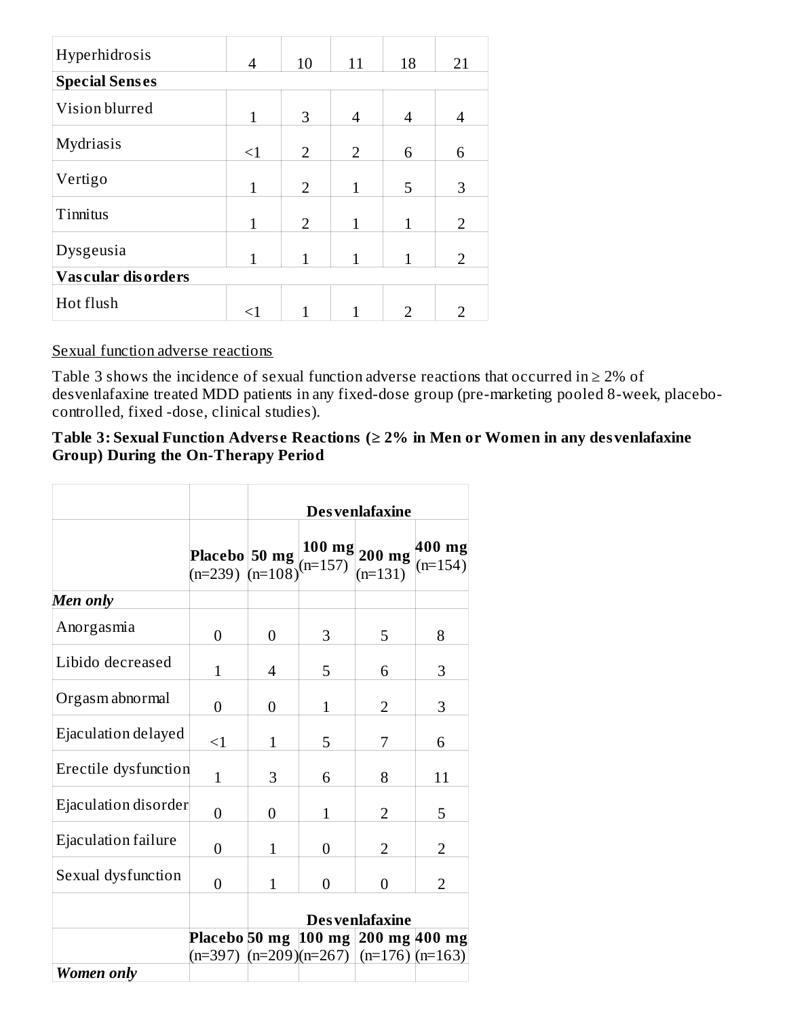| Hyperhidrosis         | 4     | 10             | 11             | 18            | 21             |
|-----------------------|-------|----------------|----------------|---------------|----------------|
| <b>Special Senses</b> |       |                |                |               |                |
| Vision blurred        | 1     | 3              | 4              | 4             | 4              |
| Mydriasis             | <1    | $\overline{2}$ | $\overline{2}$ | 6             | 6              |
| Vertigo               | 1     | $\overline{2}$ | 1              | 5             | 3              |
| Tinnitus              | 1     | $\overline{2}$ | 1              | 1             | 2              |
| Dysgeusia             | 1     | 1              | 1              | 1             | $\overline{2}$ |
| Vascular disorders    |       |                |                |               |                |
| Hot flush             | $<$ 1 |                |                | $\mathcal{D}$ | 2              |

#### Sexual function adverse reactions

Table 3 shows the incidence of sexual function adverse reactions that occurred in  $\geq 2\%$  of desvenlafaxine treated MDD patients in any fixed-dose group (pre-marketing pooled 8-week, placebocontrolled, fixed -dose, clinical studies).

## **Table 3: Sexual Function Advers e Reactions (≥ 2% in Men or Women in any desvenlafaxine Group) During the On-Therapy Period**

|                      |                                      | <b>Desvenlafaxine</b> |           |                                        |                     |  |
|----------------------|--------------------------------------|-----------------------|-----------|----------------------------------------|---------------------|--|
|                      | Placebo 50 mg<br>$(n=239)$ $(n=108)$ |                       | $(n=157)$ | $100 \text{ mg}$ 200 mg<br>$(n=131)$   | 400 mg<br>$(n=154)$ |  |
| <b>Men only</b>      |                                      |                       |           |                                        |                     |  |
| Anorgasmia           | 0                                    | 0                     | 3         | 5                                      | 8                   |  |
| Libido decreased     | 1                                    | 4                     | 5         | 6                                      | 3                   |  |
| Orgasm abnormal      | 0                                    | $\theta$              | 1         | $\overline{2}$                         | 3                   |  |
| Ejaculation delayed  | $\leq 1$                             | $\mathbf{1}$          | 5         | 7                                      | 6                   |  |
| Erectile dysfunction | $\mathbf{1}$                         | 3                     | 6         | 8                                      | 11                  |  |
| Ejaculation disorder | 0                                    | $\overline{0}$        | 1         | $\overline{2}$                         | 5                   |  |
| Ejaculation failure  | 0                                    | 1                     | 0         | $\overline{2}$                         | $\overline{2}$      |  |
| Sexual dysfunction   | 0                                    | 1                     | 0         | 0                                      | $\overline{2}$      |  |
|                      |                                      | <b>Desvenlafaxine</b> |           |                                        |                     |  |
|                      |                                      |                       |           | Placebo 50 mg  100 mg   200 mg  400 mg |                     |  |
|                      | $(n=397)$ $(n=209)(n=267)$           |                       |           | $(n=176)$ $(n=163)$                    |                     |  |
| Women only           |                                      |                       |           |                                        |                     |  |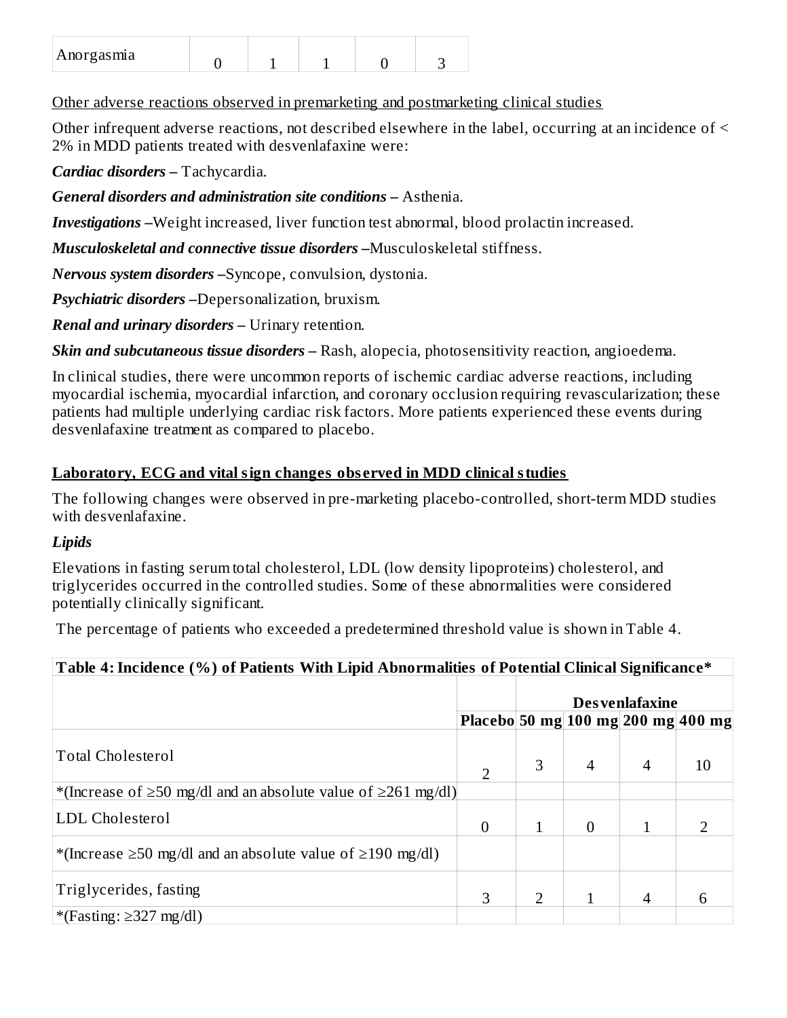| Anorgasmia |  |  |  |  |
|------------|--|--|--|--|
|------------|--|--|--|--|

Other adverse reactions observed in premarketing and postmarketing clinical studies

Other infrequent adverse reactions, not described elsewhere in the label, occurring at an incidence of < 2% in MDD patients treated with desvenlafaxine were:

## *Cardiac disorders* **–** Tachycardia.

*General disorders and administration site conditions* **–** Asthenia.

*Investigations –*Weight increased, liver function test abnormal, blood prolactin increased.

*Musculoskeletal and connective tissue disorders –*Musculoskeletal stiffness.

*Nervous system disorders –*Syncope, convulsion, dystonia.

*Psychiatric disorders –*Depersonalization, bruxism.

*Renal and urinary disorders* **–** Urinary retention.

*Skin and subcutaneous tissue disorders* **–** Rash, alopecia, photosensitivity reaction, angioedema.

In clinical studies, there were uncommon reports of ischemic cardiac adverse reactions, including myocardial ischemia, myocardial infarction, and coronary occlusion requiring revascularization; these patients had multiple underlying cardiac risk factors. More patients experienced these events during desvenlafaxine treatment as compared to placebo.

# **Laboratory, ECG and vital sign changes obs erved in MDD clinical studies**

The following changes were observed in pre-marketing placebo-controlled, short-term MDD studies with desvenlafaxine.

# *Lipids*

Elevations in fasting serum total cholesterol, LDL (low density lipoproteins) cholesterol, and triglycerides occurred in the controlled studies. Some of these abnormalities were considered potentially clinically significant.

The percentage of patients who exceeded a predetermined threshold value is shown in Table 4.

| Table 4: Incidence (%) of Patients With Lipid Abnormalities of Potential Clinical Significance* |                                    |               |                        |                |    |
|-------------------------------------------------------------------------------------------------|------------------------------------|---------------|------------------------|----------------|----|
|                                                                                                 |                                    |               | <b>Des venlafaxine</b> |                |    |
|                                                                                                 | Placebo 50 mg 100 mg 200 mg 400 mg |               |                        |                |    |
| <b>Total Cholesterol</b>                                                                        | $\mathcal{D}$                      | 3             | $\overline{4}$         | $\overline{4}$ | 10 |
| *(Increase of $\geq$ 50 mg/dl and an absolute value of $\geq$ 261 mg/dl)                        |                                    |               |                        |                |    |
| LDL Cholesterol                                                                                 | $\Omega$                           |               |                        |                |    |
| *(Increase $\geq$ 50 mg/dl and an absolute value of $\geq$ 190 mg/dl)                           |                                    |               |                        |                |    |
| Triglycerides, fasting                                                                          | 3                                  | $\mathcal{D}$ |                        | 4              | 6  |
| *(Fasting: $\geq$ 327 mg/dl)                                                                    |                                    |               |                        |                |    |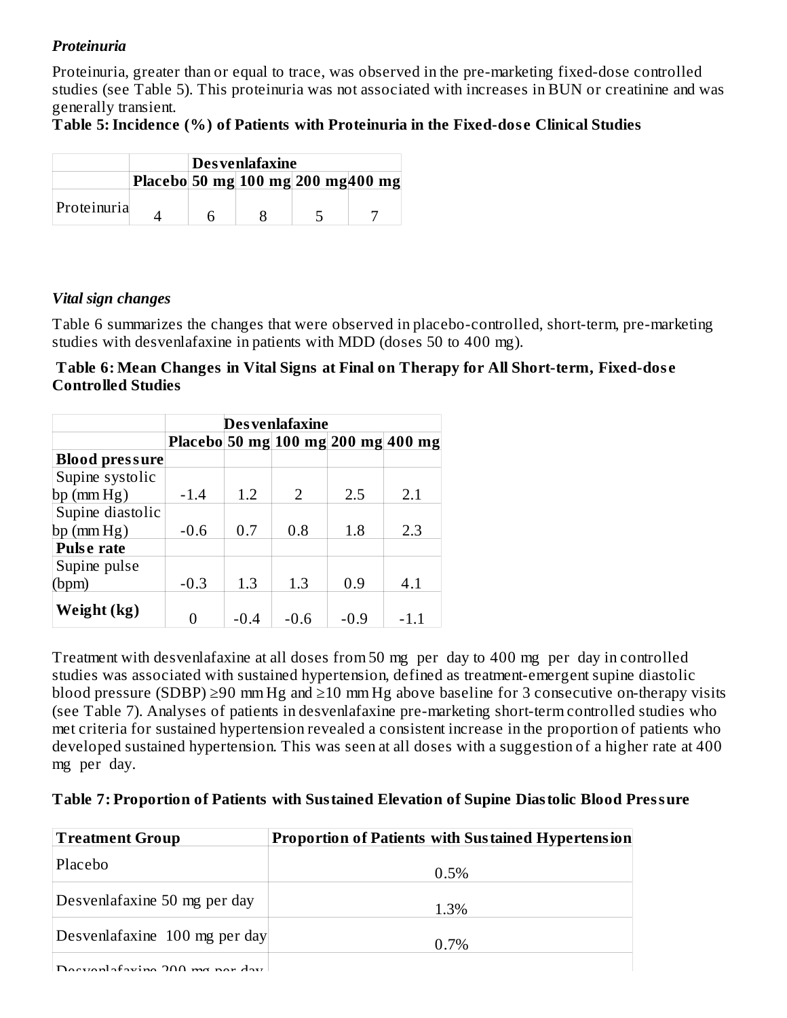## *Proteinuria*

Proteinuria, greater than or equal to trace, was observed in the pre-marketing fixed-dose controlled studies (see Table 5). This proteinuria was not associated with increases in BUN or creatinine and was generally transient.

#### **Table 5:Incidence (%) of Patients with Proteinuria in the Fixed-dos e Clinical Studies**

|              |                                    | ' Des venlafaxine |  |  |  |  |  |
|--------------|------------------------------------|-------------------|--|--|--|--|--|
|              | Placebo 50 mg 100 mg 200 mg 400 mg |                   |  |  |  |  |  |
| Proteinurial |                                    |                   |  |  |  |  |  |

#### *Vital sign changes*

Table 6 summarizes the changes that were observed in placebo-controlled, short-term, pre-marketing studies with desvenlafaxine in patients with MDD (doses 50 to 400 mg).

#### **Table 6: Mean Changes in Vital Signs at Final on Therapy for All Short-term, Fixed-dos e Controlled Studies**

|                       |        | Des venlafaxine |               |        |                                    |  |  |
|-----------------------|--------|-----------------|---------------|--------|------------------------------------|--|--|
|                       |        |                 |               |        | Placebo 50 mg 100 mg 200 mg 400 mg |  |  |
| <b>Blood pressure</b> |        |                 |               |        |                                    |  |  |
| Supine systolic       |        |                 |               |        |                                    |  |  |
| $bp \, (mm Hg)$       | $-1.4$ | 1.2             | $\mathcal{D}$ | 2.5    | 2.1                                |  |  |
| Supine diastolic      |        |                 |               |        |                                    |  |  |
| bp $(mm Hg)$          | $-0.6$ | 0.7             | 0.8           | 1.8    | 2.3                                |  |  |
| Pulse rate            |        |                 |               |        |                                    |  |  |
| Supine pulse          |        |                 |               |        |                                    |  |  |
| (bpm)                 | $-0.3$ | 1.3             | 1.3           | 0.9    | 4.1                                |  |  |
| Weight (kg)           |        | $-0.4$          | -0.6          | $-0.9$ | $-1.1$                             |  |  |

Treatment with desvenlafaxine at all doses from 50 mg per day to 400 mg per day in controlled studies was associated with sustained hypertension, defined as treatment-emergent supine diastolic blood pressure (SDBP) ≥90 mm Hg and ≥10 mm Hg above baseline for 3 consecutive on-therapy visits (see Table 7). Analyses of patients in desvenlafaxine pre-marketing short-term controlled studies who met criteria for sustained hypertension revealed a consistent increase in the proportion of patients who developed sustained hypertension. This was seen at all doses with a suggestion of a higher rate at 400 mg per day.

## **Table 7: Proportion of Patients with Sustained Elevation of Supine Diastolic Blood Pressure**

| <b>Treatment Group</b>        | <b>Proportion of Patients with Sustained Hypertension</b> |
|-------------------------------|-----------------------------------------------------------|
| Placebo                       | $0.5\%$                                                   |
| Desvenlafaxine 50 mg per day  | 1.3%                                                      |
| Desvenlafaxine 100 mg per day | $0.7\%$                                                   |
| $n_{\text{normal}}$           |                                                           |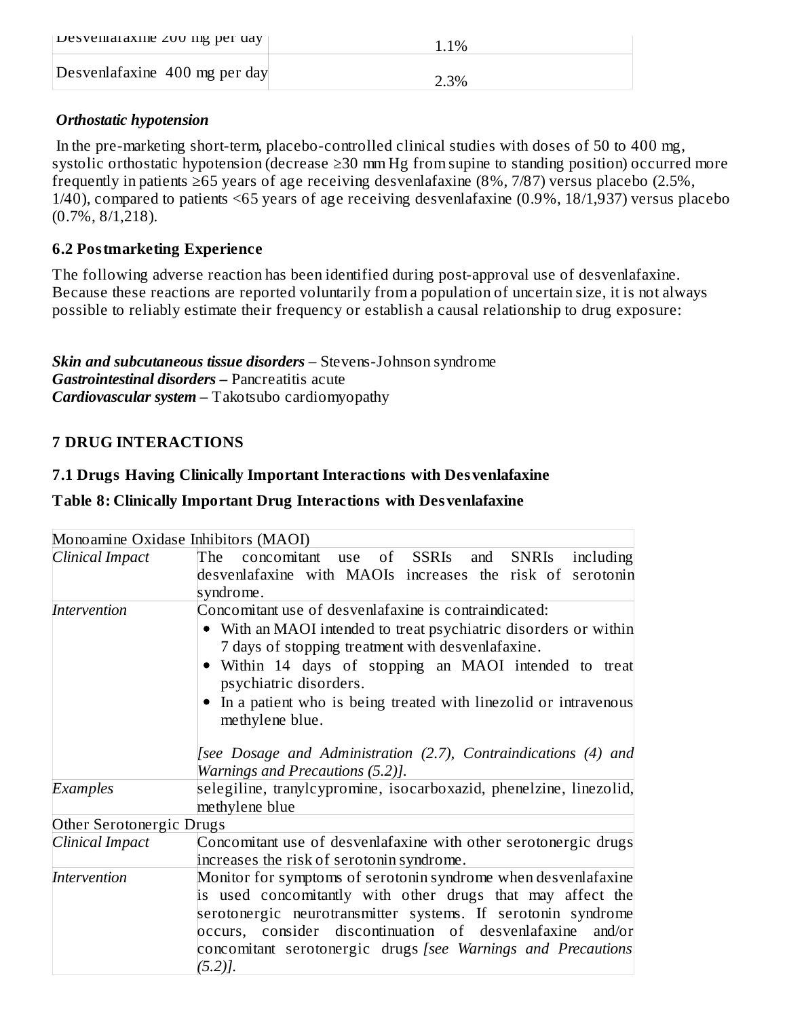| <i>Desvelhalaxine zoo mig per day</i> | 1.1% |
|---------------------------------------|------|
| Desvenlafaxine 400 mg per day         | 2.3% |

#### *Orthostatic hypotension*

In the pre-marketing short-term, placebo-controlled clinical studies with doses of 50 to 400 mg, systolic orthostatic hypotension (decrease ≥30 mm Hg from supine to standing position) occurred more frequently in patients ≥65 years of age receiving desvenlafaxine (8%, 7/87) versus placebo (2.5%, 1/40), compared to patients <65 years of age receiving desvenlafaxine (0.9%, 18/1,937) versus placebo (0.7%, 8/1,218).

## **6.2 Postmarketing Experience**

The following adverse reaction has been identified during post-approval use of desvenlafaxine. Because these reactions are reported voluntarily from a population of uncertain size, it is not always possible to reliably estimate their frequency or establish a causal relationship to drug exposure:

#### *Skin and subcutaneous tissue disorders* – Stevens-Johnson syndrome *Gastrointestinal disorders –* Pancreatitis acute *Cardiovascular system –* Takotsubo cardiomyopathy

# **7 DRUG INTERACTIONS**

## **7.1 Drugs Having Clinically Important Interactions with Desvenlafaxine**

#### **Table 8: Clinically Important Drug Interactions with Desvenlafaxine**

| Monoamine Oxidase Inhibitors (MAOI) |                                                                                                                                                                                                                                                                                                                                                            |
|-------------------------------------|------------------------------------------------------------------------------------------------------------------------------------------------------------------------------------------------------------------------------------------------------------------------------------------------------------------------------------------------------------|
| Clinical Impact                     | The<br>of SSRIs<br><b>SNRIS</b><br>concomitant use<br>including<br>and                                                                                                                                                                                                                                                                                     |
|                                     | desvenlafaxine with MAOIs increases the risk of serotonin                                                                                                                                                                                                                                                                                                  |
|                                     | syndrome.                                                                                                                                                                                                                                                                                                                                                  |
| <i>Intervention</i>                 | Concomitant use of desvenlafaxine is contraindicated:<br>• With an MAOI intended to treat psychiatric disorders or within<br>7 days of stopping treatment with desvenlafaxine.<br>• Within 14 days of stopping an MAOI intended to treat<br>psychiatric disorders.<br>• In a patient who is being treated with linezolid or intravenous<br>methylene blue. |
| Examples                            | [see Dosage and Administration (2.7), Contraindications (4) and<br>Warnings and Precautions (5.2)].<br>selegiline, tranylcypromine, isocarboxazid, phenelzine, linezolid,                                                                                                                                                                                  |
|                                     | methylene blue                                                                                                                                                                                                                                                                                                                                             |
| Other Serotonergic Drugs            |                                                                                                                                                                                                                                                                                                                                                            |
| Clinical Impact                     | Concomitant use of desvenlafaxine with other serotonergic drugs<br>increases the risk of serotonin syndrome.                                                                                                                                                                                                                                               |
| Intervention                        | Monitor for symptoms of serotonin syndrome when desvenlafaxine<br>is used concomitantly with other drugs that may affect the<br>serotonergic neurotransmitter systems. If serotonin syndrome<br>occurs, consider discontinuation of desvenlafaxine and/or<br>concomitant serotonergic drugs [see Warnings and Precautions<br>$(5.2)$ ].                    |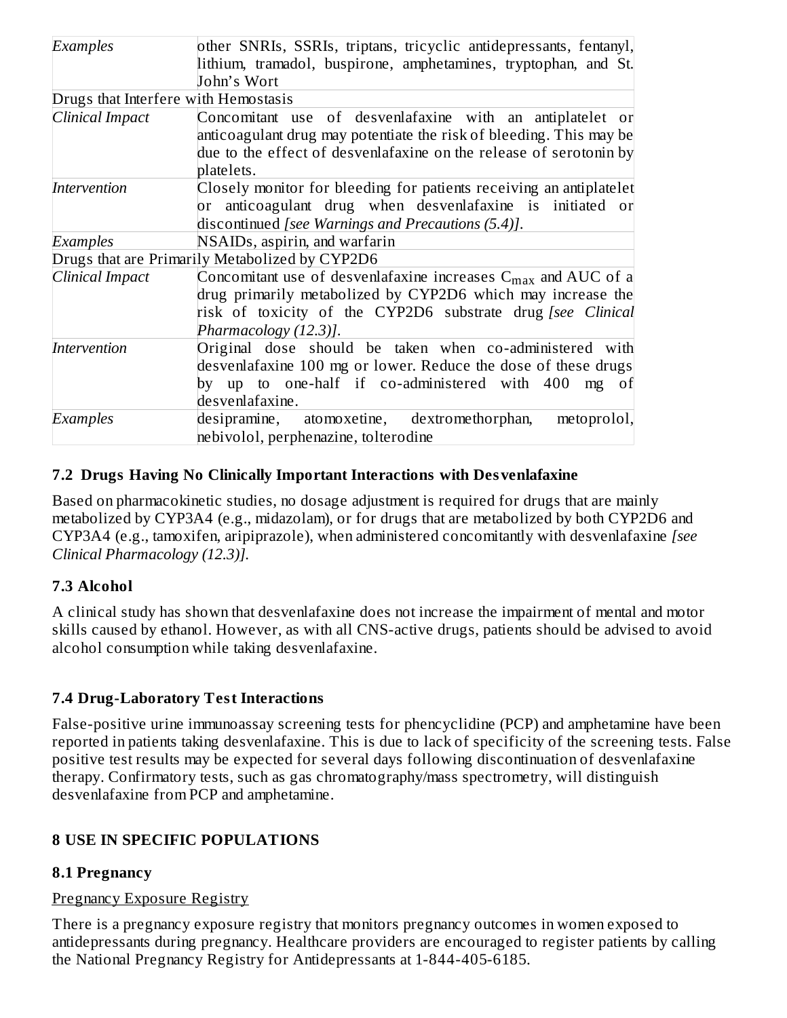| Examples                             | other SNRIs, SSRIs, triptans, tricyclic antidepressants, fentanyl,        |
|--------------------------------------|---------------------------------------------------------------------------|
|                                      | lithium, tramadol, buspirone, amphetamines, tryptophan, and St.           |
|                                      | John's Wort                                                               |
| Drugs that Interfere with Hemostasis |                                                                           |
| Clinical Impact                      | Concomitant use of desvenlafaxine with an antiplatelet or                 |
|                                      | anticoagulant drug may potentiate the risk of bleeding. This may be       |
|                                      | due to the effect of desvenlafaxine on the release of serotonin by        |
|                                      | platelets.                                                                |
| <b>Intervention</b>                  | Closely monitor for bleeding for patients receiving an antiplatelet       |
|                                      | or anticoagulant drug when desvenlafaxine is initiated or                 |
|                                      | discontinued [see Warnings and Precautions (5.4)].                        |
| Examples                             | NSAIDs, aspirin, and warfarin                                             |
|                                      | Drugs that are Primarily Metabolized by CYP2D6                            |
| Clinical Impact                      | Concomitant use of desvenlafaxine increases $C_{\text{max}}$ and AUC of a |
|                                      | drug primarily metabolized by CYP2D6 which may increase the               |
|                                      | risk of toxicity of the CYP2D6 substrate drug [see Clinical               |
|                                      | Pharmacology (12.3)].                                                     |
| <b>Intervention</b>                  | Original dose should be taken when co-administered with                   |
|                                      | desvenlafaxine 100 mg or lower. Reduce the dose of these drugs            |
|                                      | by up to one-half if co-administered with 400 mg<br>- of                  |
|                                      | desvenlafaxine.                                                           |
| Examples                             | desipramine, atomoxetine, dextromethorphan,<br>metoprolol,                |
|                                      | nebivolol, perphenazine, tolterodine                                      |

#### **7.2 Drugs Having No Clinically Important Interactions with Desvenlafaxine**

Based on pharmacokinetic studies, no dosage adjustment is required for drugs that are mainly metabolized by CYP3A4 (e.g., midazolam), or for drugs that are metabolized by both CYP2D6 and CYP3A4 (e.g., tamoxifen, aripiprazole), when administered concomitantly with desvenlafaxine *[see Clinical Pharmacology (12.3)].*

## **7.3 Alcohol**

A clinical study has shown that desvenlafaxine does not increase the impairment of mental and motor skills caused by ethanol. However, as with all CNS-active drugs, patients should be advised to avoid alcohol consumption while taking desvenlafaxine.

## **7.4 Drug-Laboratory Test Interactions**

False-positive urine immunoassay screening tests for phencyclidine (PCP) and amphetamine have been reported in patients taking desvenlafaxine. This is due to lack of specificity of the screening tests. False positive test results may be expected for several days following discontinuation of desvenlafaxine therapy. Confirmatory tests, such as gas chromatography/mass spectrometry, will distinguish desvenlafaxine from PCP and amphetamine.

## **8 USE IN SPECIFIC POPULATIONS**

#### **8.1 Pregnancy**

#### Pregnancy Exposure Registry

There is a pregnancy exposure registry that monitors pregnancy outcomes in women exposed to antidepressants during pregnancy. Healthcare providers are encouraged to register patients by calling the National Pregnancy Registry for Antidepressants at 1-844-405-6185.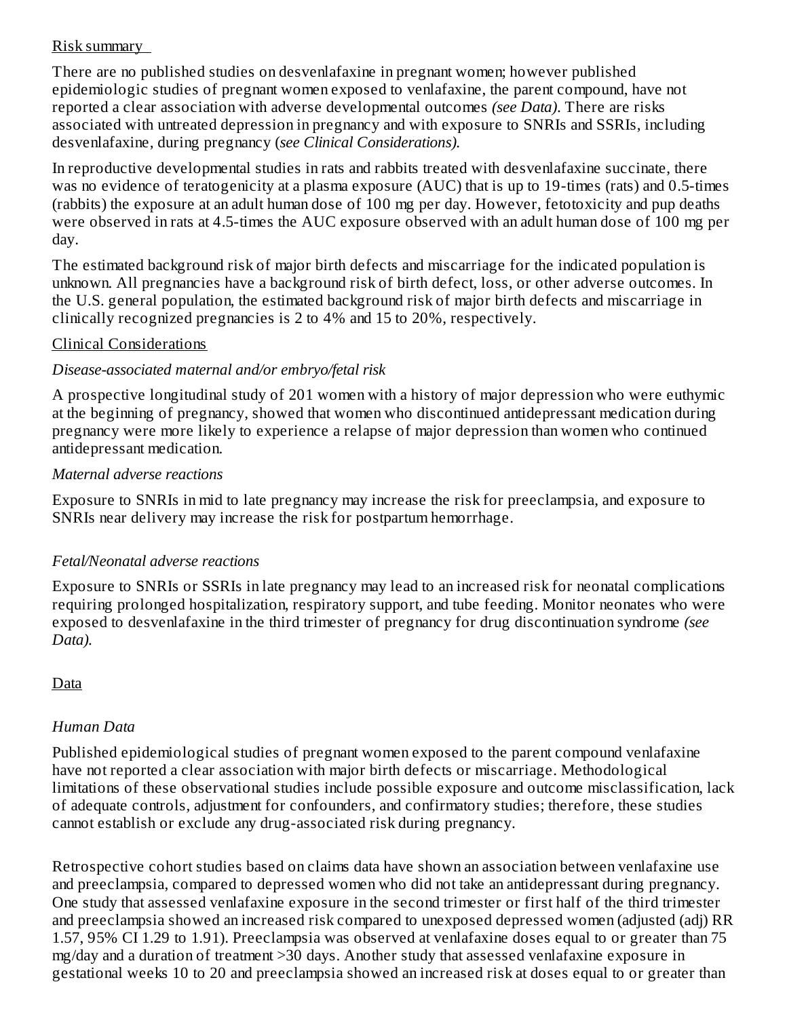## Risk summary

There are no published studies on desvenlafaxine in pregnant women; however published epidemiologic studies of pregnant women exposed to venlafaxine, the parent compound, have not reported a clear association with adverse developmental outcomes *(see Data)*. There are risks associated with untreated depression in pregnancy and with exposure to SNRIs and SSRIs, including desvenlafaxine, during pregnancy (*see Clinical Considerations).*

In reproductive developmental studies in rats and rabbits treated with desvenlafaxine succinate, there was no evidence of teratogenicity at a plasma exposure (AUC) that is up to 19-times (rats) and 0.5-times (rabbits) the exposure at an adult human dose of 100 mg per day. However, fetotoxicity and pup deaths were observed in rats at 4.5-times the AUC exposure observed with an adult human dose of 100 mg per day.

The estimated background risk of major birth defects and miscarriage for the indicated population is unknown. All pregnancies have a background risk of birth defect, loss, or other adverse outcomes. In the U.S. general population, the estimated background risk of major birth defects and miscarriage in clinically recognized pregnancies is 2 to 4% and 15 to 20%, respectively.

#### Clinical Considerations

#### *Disease-associated maternal and/or embryo/fetal risk*

A prospective longitudinal study of 201 women with a history of major depression who were euthymic at the beginning of pregnancy, showed that women who discontinued antidepressant medication during pregnancy were more likely to experience a relapse of major depression than women who continued antidepressant medication.

#### *Maternal adverse reactions*

Exposure to SNRIs in mid to late pregnancy may increase the risk for preeclampsia, and exposure to SNRIs near delivery may increase the risk for postpartum hemorrhage.

## *Fetal/Neonatal adverse reactions*

Exposure to SNRIs or SSRIs in late pregnancy may lead to an increased risk for neonatal complications requiring prolonged hospitalization, respiratory support, and tube feeding. Monitor neonates who were exposed to desvenlafaxine in the third trimester of pregnancy for drug discontinuation syndrome *(see Data).*

## Data

## *Human Data*

Published epidemiological studies of pregnant women exposed to the parent compound venlafaxine have not reported a clear association with major birth defects or miscarriage. Methodological limitations of these observational studies include possible exposure and outcome misclassification, lack of adequate controls, adjustment for confounders, and confirmatory studies; therefore, these studies cannot establish or exclude any drug-associated risk during pregnancy.

Retrospective cohort studies based on claims data have shown an association between venlafaxine use and preeclampsia, compared to depressed women who did not take an antidepressant during pregnancy. One study that assessed venlafaxine exposure in the second trimester or first half of the third trimester and preeclampsia showed an increased risk compared to unexposed depressed women (adjusted (adj) RR 1.57, 95% CI 1.29 to 1.91). Preeclampsia was observed at venlafaxine doses equal to or greater than 75 mg/day and a duration of treatment >30 days. Another study that assessed venlafaxine exposure in gestational weeks 10 to 20 and preeclampsia showed an increased risk at doses equal to or greater than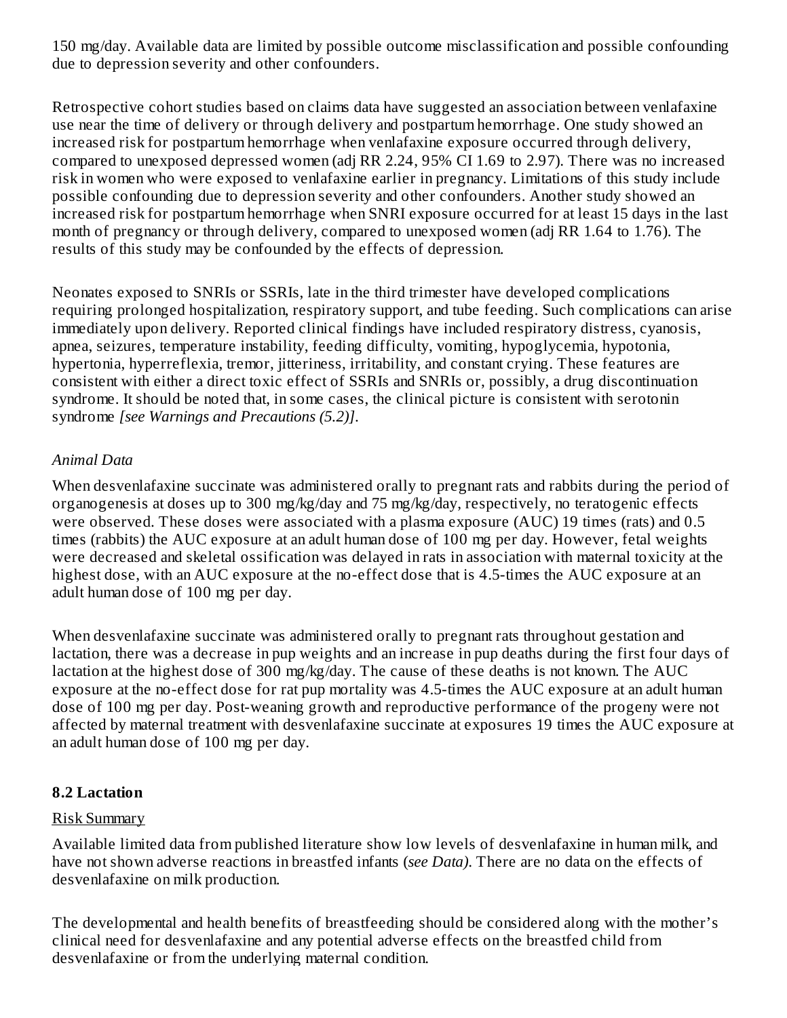150 mg/day. Available data are limited by possible outcome misclassification and possible confounding due to depression severity and other confounders.

Retrospective cohort studies based on claims data have suggested an association between venlafaxine use near the time of delivery or through delivery and postpartum hemorrhage. One study showed an increased risk for postpartum hemorrhage when venlafaxine exposure occurred through delivery, compared to unexposed depressed women (adj RR 2.24, 95% CI 1.69 to 2.97). There was no increased risk in women who were exposed to venlafaxine earlier in pregnancy. Limitations of this study include possible confounding due to depression severity and other confounders. Another study showed an increased risk for postpartum hemorrhage when SNRI exposure occurred for at least 15 days in the last month of pregnancy or through delivery, compared to unexposed women (adj RR 1.64 to 1.76). The results of this study may be confounded by the effects of depression.

Neonates exposed to SNRIs or SSRIs, late in the third trimester have developed complications requiring prolonged hospitalization, respiratory support, and tube feeding. Such complications can arise immediately upon delivery. Reported clinical findings have included respiratory distress, cyanosis, apnea, seizures, temperature instability, feeding difficulty, vomiting, hypoglycemia, hypotonia, hypertonia, hyperreflexia, tremor, jitteriness, irritability, and constant crying. These features are consistent with either a direct toxic effect of SSRIs and SNRIs or, possibly, a drug discontinuation syndrome. It should be noted that, in some cases, the clinical picture is consistent with serotonin syndrome *[see Warnings and Precautions (5.2)]*.

#### *Animal Data*

When desvenlafaxine succinate was administered orally to pregnant rats and rabbits during the period of organogenesis at doses up to 300 mg/kg/day and 75 mg/kg/day, respectively, no teratogenic effects were observed. These doses were associated with a plasma exposure (AUC) 19 times (rats) and 0.5 times (rabbits) the AUC exposure at an adult human dose of 100 mg per day. However, fetal weights were decreased and skeletal ossification was delayed in rats in association with maternal toxicity at the highest dose, with an AUC exposure at the no-effect dose that is 4.5-times the AUC exposure at an adult human dose of 100 mg per day.

When desvenlafaxine succinate was administered orally to pregnant rats throughout gestation and lactation, there was a decrease in pup weights and an increase in pup deaths during the first four days of lactation at the highest dose of 300 mg/kg/day. The cause of these deaths is not known. The AUC exposure at the no-effect dose for rat pup mortality was 4.5-times the AUC exposure at an adult human dose of 100 mg per day. Post-weaning growth and reproductive performance of the progeny were not affected by maternal treatment with desvenlafaxine succinate at exposures 19 times the AUC exposure at an adult human dose of 100 mg per day.

#### **8.2 Lactation**

#### Risk Summary

Available limited data from published literature show low levels of desvenlafaxine in human milk, and have not shown adverse reactions in breastfed infants (*see Data)*. There are no data on the effects of desvenlafaxine on milk production.

The developmental and health benefits of breastfeeding should be considered along with the mother's clinical need for desvenlafaxine and any potential adverse effects on the breastfed child from desvenlafaxine or from the underlying maternal condition.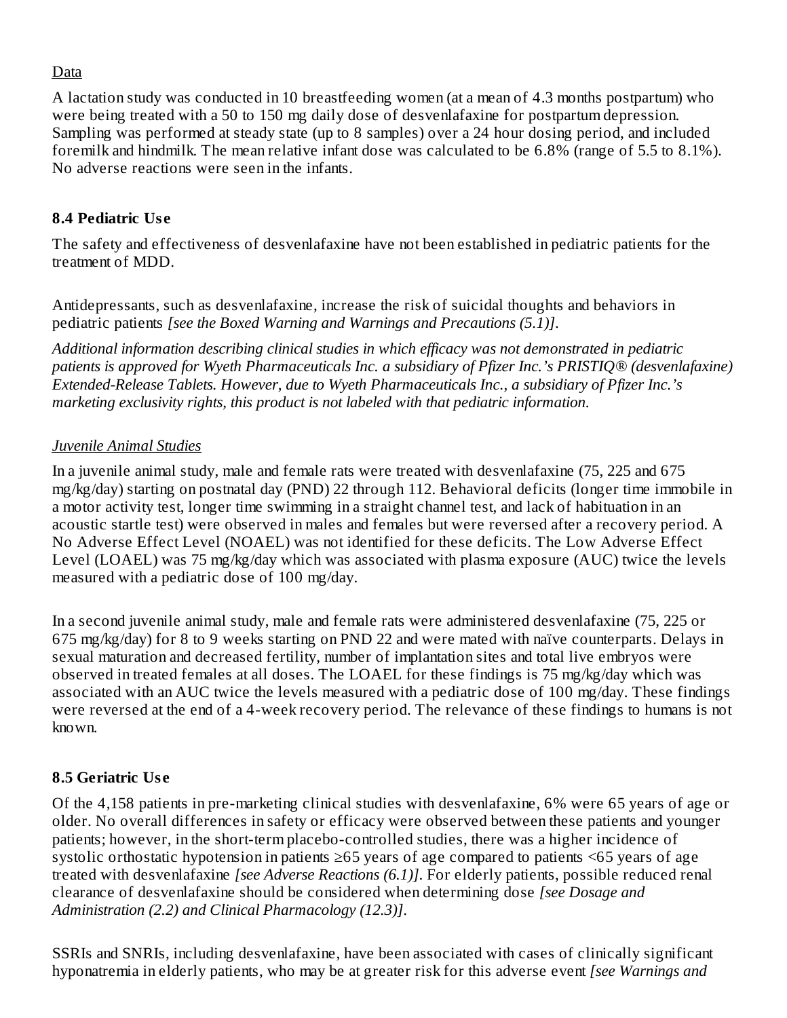## Data

A lactation study was conducted in 10 breastfeeding women (at a mean of 4.3 months postpartum) who were being treated with a 50 to 150 mg daily dose of desvenlafaxine for postpartum depression. Sampling was performed at steady state (up to 8 samples) over a 24 hour dosing period, and included foremilk and hindmilk. The mean relative infant dose was calculated to be 6.8% (range of 5.5 to 8.1%). No adverse reactions were seen in the infants.

## **8.4 Pediatric Us e**

The safety and effectiveness of desvenlafaxine have not been established in pediatric patients for the treatment of MDD.

Antidepressants, such as desvenlafaxine, increase the risk of suicidal thoughts and behaviors in pediatric patients *[see the Boxed Warning and Warnings and Precautions (5.1)]*.

*Additional information describing clinical studies in which efficacy was not demonstrated in pediatric patients is approved for Wyeth Pharmaceuticals Inc. a subsidiary of Pfizer Inc.'s PRISTIQ® (desvenlafaxine) Extended-Release Tablets. However, due to Wyeth Pharmaceuticals Inc., a subsidiary of Pfizer Inc.'s marketing exclusivity rights, this product is not labeled with that pediatric information.*

## *Juvenile Animal Studies*

In a juvenile animal study, male and female rats were treated with desvenlafaxine (75, 225 and 675 mg/kg/day) starting on postnatal day (PND) 22 through 112. Behavioral deficits (longer time immobile in a motor activity test, longer time swimming in a straight channel test, and lack of habituation in an acoustic startle test) were observed in males and females but were reversed after a recovery period. A No Adverse Effect Level (NOAEL) was not identified for these deficits. The Low Adverse Effect Level (LOAEL) was 75 mg/kg/day which was associated with plasma exposure (AUC) twice the levels measured with a pediatric dose of 100 mg/day.

In a second juvenile animal study, male and female rats were administered desvenlafaxine (75, 225 or 675 mg/kg/day) for 8 to 9 weeks starting on PND 22 and were mated with naïve counterparts. Delays in sexual maturation and decreased fertility, number of implantation sites and total live embryos were observed in treated females at all doses. The LOAEL for these findings is 75 mg/kg/day which was associated with an AUC twice the levels measured with a pediatric dose of 100 mg/day. These findings were reversed at the end of a 4-week recovery period. The relevance of these findings to humans is not known.

# **8.5 Geriatric Us e**

Of the 4,158 patients in pre-marketing clinical studies with desvenlafaxine, 6% were 65 years of age or older. No overall differences in safety or efficacy were observed between these patients and younger patients; however, in the short-term placebo-controlled studies, there was a higher incidence of systolic orthostatic hypotension in patients ≥65 years of age compared to patients <65 years of age treated with desvenlafaxine *[see Adverse Reactions (6.1)]*. For elderly patients, possible reduced renal clearance of desvenlafaxine should be considered when determining dose *[see Dosage and Administration (2.2) and Clinical Pharmacology (12.3)]*.

SSRIs and SNRIs, including desvenlafaxine, have been associated with cases of clinically significant hyponatremia in elderly patients, who may be at greater risk for this adverse event *[see Warnings and*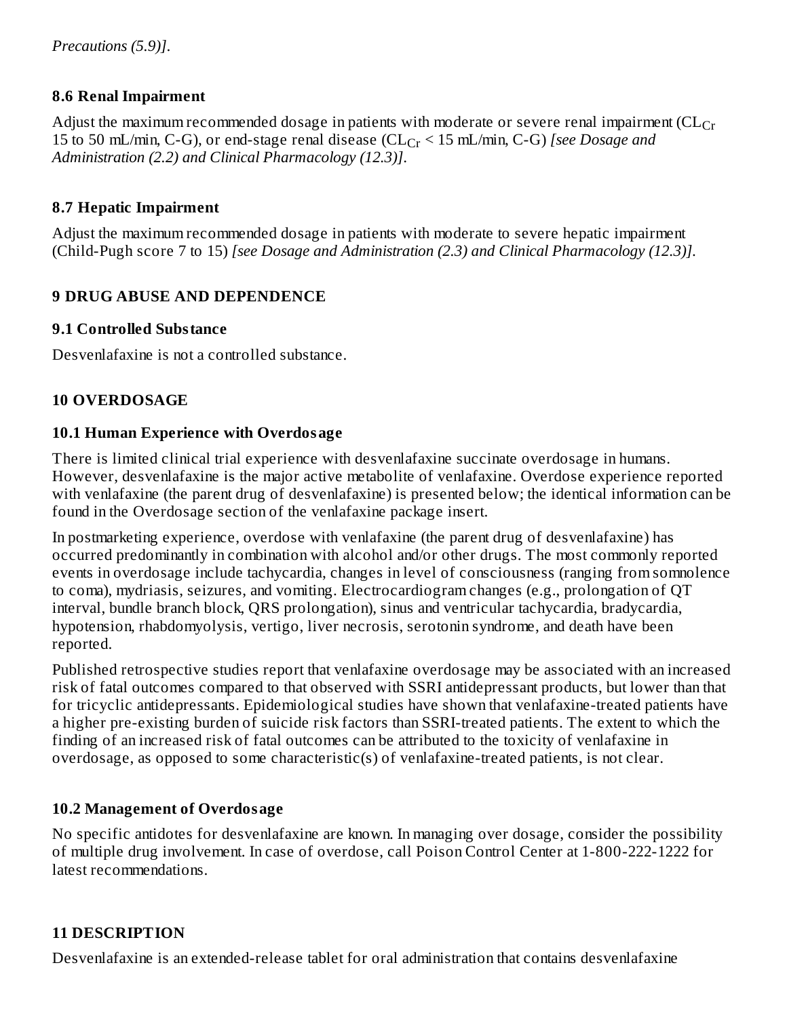## **8.6 Renal Impairment**

Adjust the maximum recommended dosage in patients with moderate or severe renal impairment ( $\rm CL_{Cr}$ 15 to 50 mL/min, C-G), or end-stage renal disease (CL < 15 mL/min, C-G) *[see Dosage and* Cr*Administration (2.2) and Clinical Pharmacology (12.3)]*.

#### **8.7 Hepatic Impairment**

Adjust the maximum recommended dosage in patients with moderate to severe hepatic impairment (Child-Pugh score 7 to 15) *[see Dosage and Administration (2.3) and Clinical Pharmacology (12.3)]*.

## **9 DRUG ABUSE AND DEPENDENCE**

#### **9.1 Controlled Substance**

Desvenlafaxine is not a controlled substance.

## **10 OVERDOSAGE**

#### **10.1 Human Experience with Overdosage**

There is limited clinical trial experience with desvenlafaxine succinate overdosage in humans. However, desvenlafaxine is the major active metabolite of venlafaxine. Overdose experience reported with venlafaxine (the parent drug of desvenlafaxine) is presented below; the identical information can be found in the Overdosage section of the venlafaxine package insert.

In postmarketing experience, overdose with venlafaxine (the parent drug of desvenlafaxine) has occurred predominantly in combination with alcohol and/or other drugs. The most commonly reported events in overdosage include tachycardia, changes in level of consciousness (ranging from somnolence to coma), mydriasis, seizures, and vomiting. Electrocardiogram changes (e.g., prolongation of QT interval, bundle branch block, QRS prolongation), sinus and ventricular tachycardia, bradycardia, hypotension, rhabdomyolysis, vertigo, liver necrosis, serotonin syndrome, and death have been reported.

Published retrospective studies report that venlafaxine overdosage may be associated with an increased risk of fatal outcomes compared to that observed with SSRI antidepressant products, but lower than that for tricyclic antidepressants. Epidemiological studies have shown that venlafaxine-treated patients have a higher pre-existing burden of suicide risk factors than SSRI-treated patients. The extent to which the finding of an increased risk of fatal outcomes can be attributed to the toxicity of venlafaxine in overdosage, as opposed to some characteristic(s) of venlafaxine-treated patients, is not clear.

## **10.2 Management of Overdosage**

No specific antidotes for desvenlafaxine are known. In managing over dosage, consider the possibility of multiple drug involvement. In case of overdose, call Poison Control Center at 1-800-222-1222 for latest recommendations.

## **11 DESCRIPTION**

Desvenlafaxine is an extended-release tablet for oral administration that contains desvenlafaxine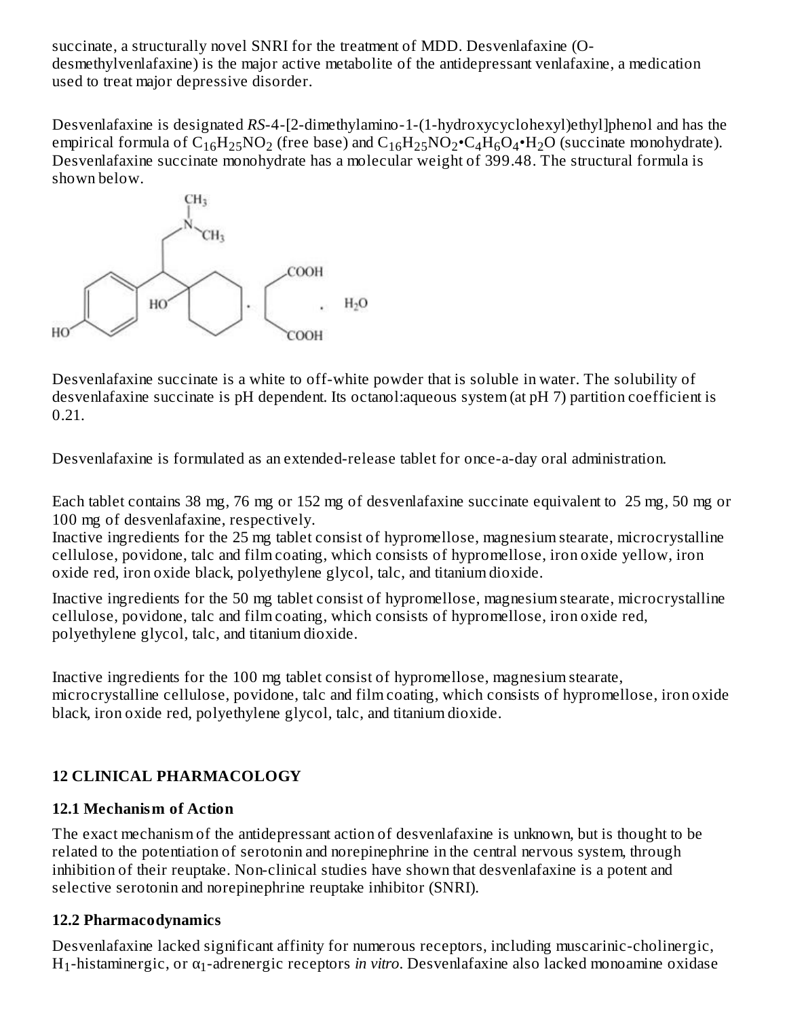succinate, a structurally novel SNRI for the treatment of MDD. Desvenlafaxine (Odesmethylvenlafaxine) is the major active metabolite of the antidepressant venlafaxine, a medication used to treat major depressive disorder.

Desvenlafaxine is designated *RS*-4-[2-dimethylamino-1-(1-hydroxycyclohexyl)ethyl]phenol and has the empirical formula of  $C_{16}H_{25}NO_2$  (free base) and  $C_{16}H_{25}NO_2 \cdot C_4H_6O_4 \cdot H_2O$  (succinate monohydrate). Desvenlafaxine succinate monohydrate has a molecular weight of 399.48. The structural formula is shown below.



Desvenlafaxine succinate is a white to off-white powder that is soluble in water. The solubility of desvenlafaxine succinate is pH dependent. Its octanol:aqueous system (at pH 7) partition coefficient is 0.21.

Desvenlafaxine is formulated as an extended-release tablet for once-a-day oral administration.

Each tablet contains 38 mg, 76 mg or 152 mg of desvenlafaxine succinate equivalent to 25 mg, 50 mg or 100 mg of desvenlafaxine, respectively.

Inactive ingredients for the 25 mg tablet consist of hypromellose, magnesium stearate, microcrystalline cellulose, povidone, talc and film coating, which consists of hypromellose, iron oxide yellow, iron oxide red, iron oxide black, polyethylene glycol, talc, and titanium dioxide.

Inactive ingredients for the 50 mg tablet consist of hypromellose, magnesium stearate, microcrystalline cellulose, povidone, talc and film coating, which consists of hypromellose, iron oxide red, polyethylene glycol, talc, and titanium dioxide.

Inactive ingredients for the 100 mg tablet consist of hypromellose, magnesium stearate, microcrystalline cellulose, povidone, talc and film coating, which consists of hypromellose, iron oxide black, iron oxide red, polyethylene glycol, talc, and titanium dioxide.

# **12 CLINICAL PHARMACOLOGY**

## **12.1 Mechanism of Action**

The exact mechanism of the antidepressant action of desvenlafaxine is unknown, but is thought to be related to the potentiation of serotonin and norepinephrine in the central nervous system, through inhibition of their reuptake. Non-clinical studies have shown that desvenlafaxine is a potent and selective serotonin and norepinephrine reuptake inhibitor (SNRI).

#### **12.2 Pharmacodynamics**

Desvenlafaxine lacked significant affinity for numerous receptors, including muscarinic-cholinergic, H<sub>1</sub>-histaminergic, or α<sub>1</sub>-adrenergic receptors *in vitro*. Desvenlafaxine also lacked monoamine oxidase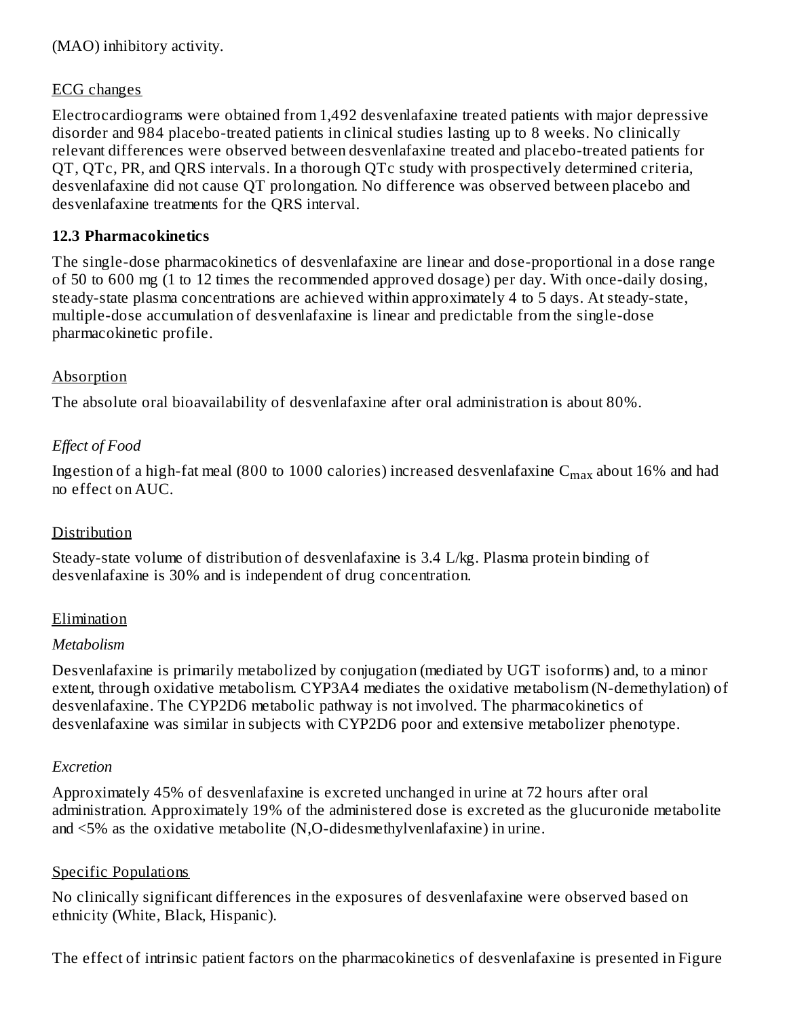#### (MAO) inhibitory activity. 1 1

## ECG changes

Electrocardiograms were obtained from 1,492 desvenlafaxine treated patients with major depressive disorder and 984 placebo-treated patients in clinical studies lasting up to 8 weeks. No clinically relevant differences were observed between desvenlafaxine treated and placebo-treated patients for QT, QTc, PR, and QRS intervals. In a thorough QTc study with prospectively determined criteria, desvenlafaxine did not cause QT prolongation. No difference was observed between placebo and desvenlafaxine treatments for the QRS interval.

## **12.3 Pharmacokinetics**

The single-dose pharmacokinetics of desvenlafaxine are linear and dose-proportional in a dose range of 50 to 600 mg (1 to 12 times the recommended approved dosage) per day. With once-daily dosing, steady-state plasma concentrations are achieved within approximately 4 to 5 days. At steady-state, multiple-dose accumulation of desvenlafaxine is linear and predictable from the single-dose pharmacokinetic profile.

## Absorption

The absolute oral bioavailability of desvenlafaxine after oral administration is about 80%.

# *Effect of Food*

Ingestion of a high-fat meal (800 to 1000 calories) increased desvenlafaxine  $\mathsf{C_{max}}$  about 16% and had no effect on AUC.

## Distribution

Steady-state volume of distribution of desvenlafaxine is 3.4 L/kg. Plasma protein binding of desvenlafaxine is 30% and is independent of drug concentration.

## **Elimination**

## *Metabolism*

Desvenlafaxine is primarily metabolized by conjugation (mediated by UGT isoforms) and, to a minor extent, through oxidative metabolism. CYP3A4 mediates the oxidative metabolism (N-demethylation) of desvenlafaxine. The CYP2D6 metabolic pathway is not involved. The pharmacokinetics of desvenlafaxine was similar in subjects with CYP2D6 poor and extensive metabolizer phenotype.

## *Excretion*

Approximately 45% of desvenlafaxine is excreted unchanged in urine at 72 hours after oral administration. Approximately 19% of the administered dose is excreted as the glucuronide metabolite and <5% as the oxidative metabolite (N,O-didesmethylvenlafaxine) in urine.

# Specific Populations

No clinically significant differences in the exposures of desvenlafaxine were observed based on ethnicity (White, Black, Hispanic).

The effect of intrinsic patient factors on the pharmacokinetics of desvenlafaxine is presented in Figure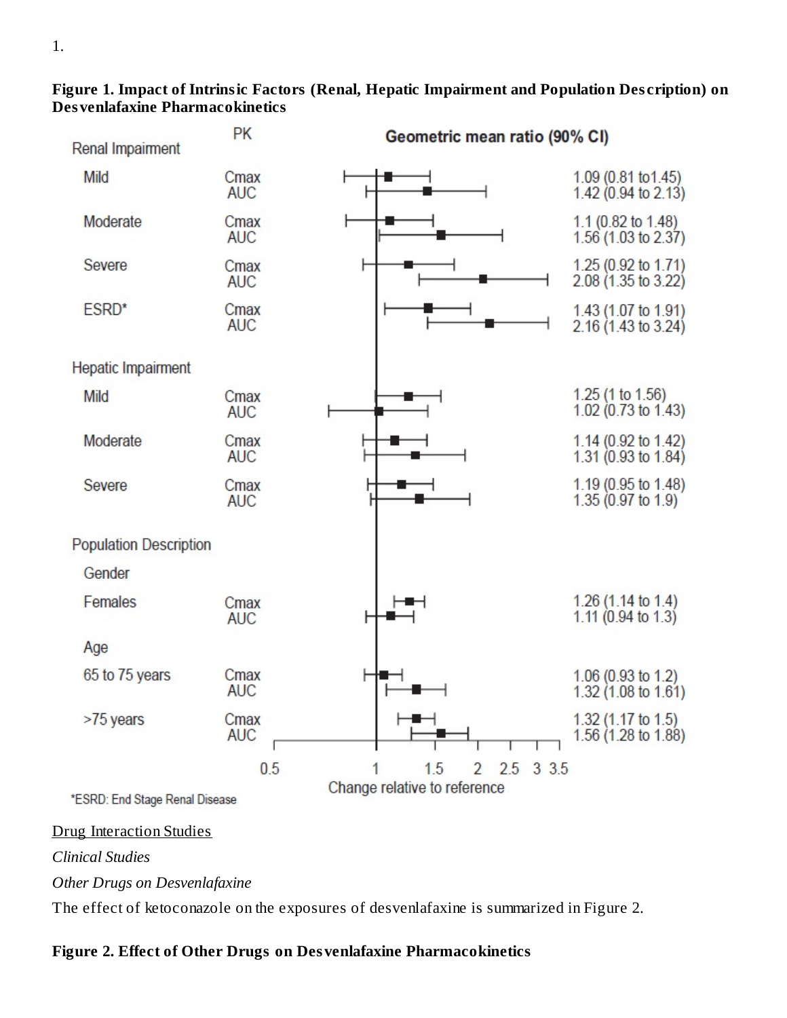

## **Figure 1. Impact of Intrinsic Factors (Renal, Hepatic Impairment and Population Des cription) on Desvenlafaxine Pharmacokinetics**

*Clinical Studies*

*Other Drugs on Desvenlafaxine*

The effect of ketoconazole on the exposures of desvenlafaxine is summarized in Figure 2.

#### **Figure 2. Effect of Other Drugs on Desvenlafaxine Pharmacokinetics**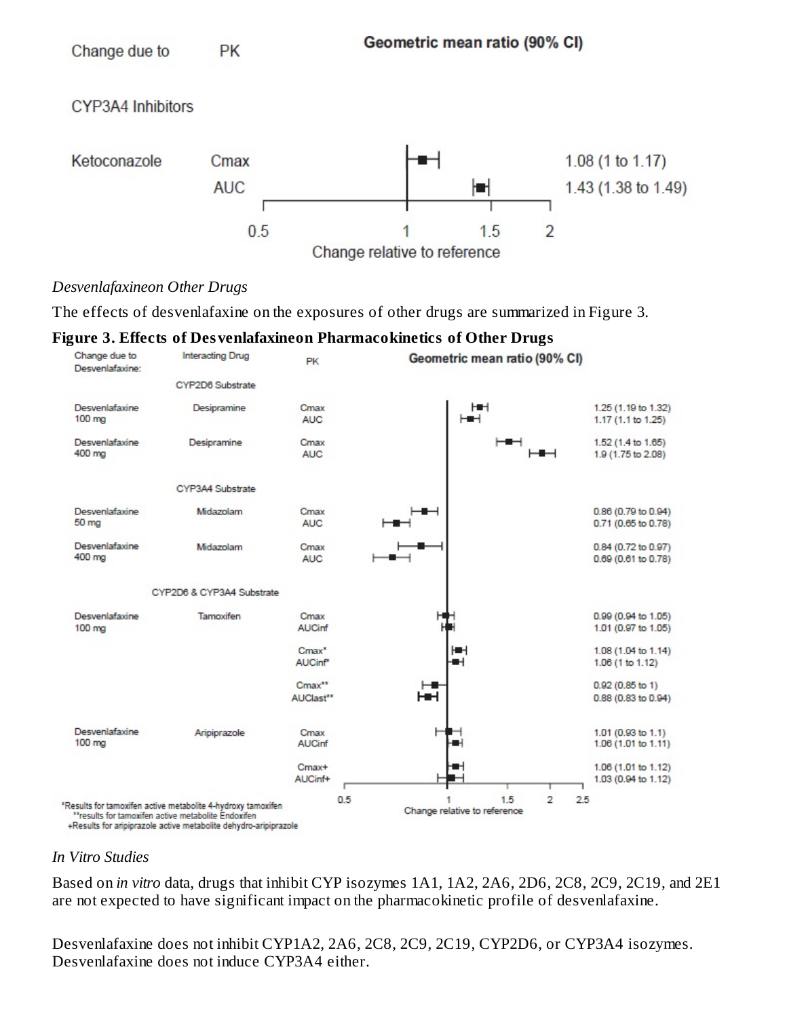

#### *Desvenlafaxineon Other Drugs*

The effects of desvenlafaxine on the exposures of other drugs are summarized in Figure 3.

#### **Figure 3. Effects of Desvenlafaxineon Pharmacokinetics of Other Drugs**



#### *In Vitro Studies*

Based on *in vitro* data, drugs that inhibit CYP isozymes 1A1, 1A2, 2A6, 2D6, 2C8, 2C9, 2C19, and 2E1 are not expected to have significant impact on the pharmacokinetic profile of desvenlafaxine.

Desvenlafaxine does not inhibit CYP1A2, 2A6, 2C8, 2C9, 2C19, CYP2D6, or CYP3A4 isozymes. Desvenlafaxine does not induce CYP3A4 either.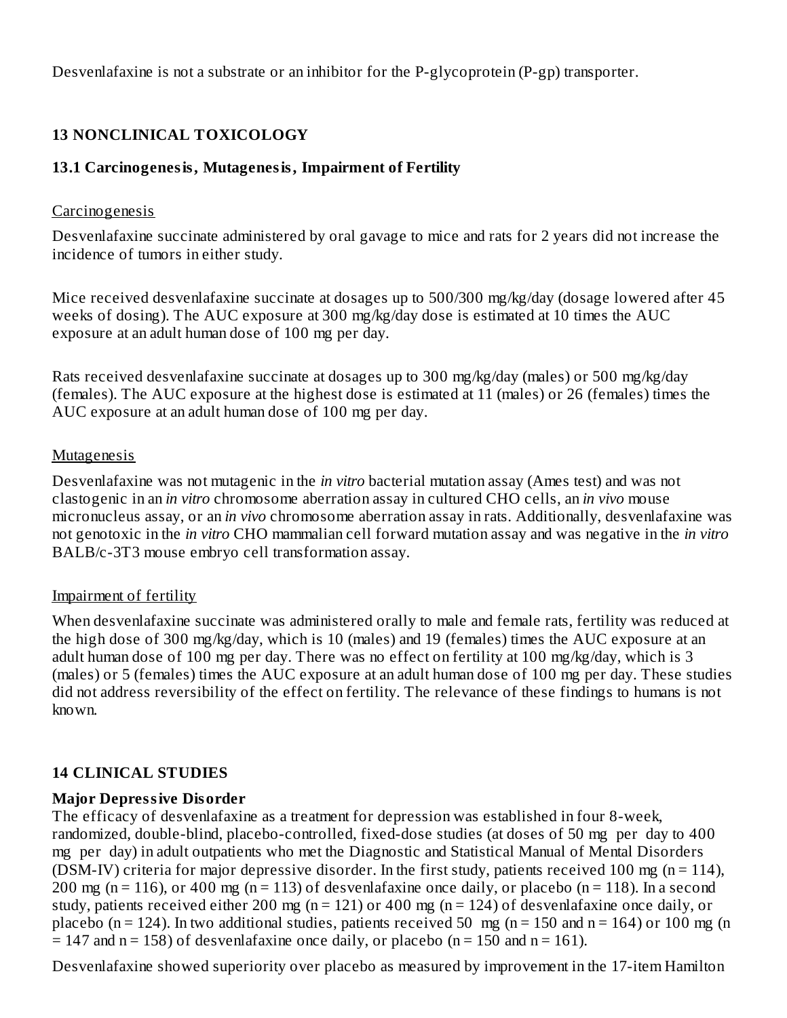Desvenlafaxine is not a substrate or an inhibitor for the P-glycoprotein (P-gp) transporter.

## **13 NONCLINICAL TOXICOLOGY**

#### **13.1 Carcinogenesis, Mutagenesis, Impairment of Fertility**

#### **Carcinogenesis**

Desvenlafaxine succinate administered by oral gavage to mice and rats for 2 years did not increase the incidence of tumors in either study.

Mice received desvenlafaxine succinate at dosages up to 500/300 mg/kg/day (dosage lowered after 45 weeks of dosing). The AUC exposure at 300 mg/kg/day dose is estimated at 10 times the AUC exposure at an adult human dose of 100 mg per day.

Rats received desvenlafaxine succinate at dosages up to 300 mg/kg/day (males) or 500 mg/kg/day (females). The AUC exposure at the highest dose is estimated at 11 (males) or 26 (females) times the AUC exposure at an adult human dose of 100 mg per day.

#### Mutagenesis

Desvenlafaxine was not mutagenic in the *in vitro* bacterial mutation assay (Ames test) and was not clastogenic in an *in vitro* chromosome aberration assay in cultured CHO cells, an *in vivo* mouse micronucleus assay, or an *in vivo* chromosome aberration assay in rats. Additionally, desvenlafaxine was not genotoxic in the *in vitro* CHO mammalian cell forward mutation assay and was negative in the *in vitro* BALB/c-3T3 mouse embryo cell transformation assay.

#### Impairment of fertility

When desvenlafaxine succinate was administered orally to male and female rats, fertility was reduced at the high dose of 300 mg/kg/day, which is 10 (males) and 19 (females) times the AUC exposure at an adult human dose of 100 mg per day. There was no effect on fertility at 100 mg/kg/day, which is 3 (males) or 5 (females) times the AUC exposure at an adult human dose of 100 mg per day. These studies did not address reversibility of the effect on fertility. The relevance of these findings to humans is not known.

#### **14 CLINICAL STUDIES**

#### **Major Depressive Disorder**

The efficacy of desvenlafaxine as a treatment for depression was established in four 8-week, randomized, double-blind, placebo-controlled, fixed-dose studies (at doses of 50 mg per day to 400 mg per day) in adult outpatients who met the Diagnostic and Statistical Manual of Mental Disorders (DSM-IV) criteria for major depressive disorder. In the first study, patients received 100 mg ( $n = 114$ ), 200 mg (n = 116), or 400 mg (n = 113) of desvenlafaxine once daily, or placebo (n = 118). In a second study, patients received either 200 mg ( $n = 121$ ) or 400 mg ( $n = 124$ ) of desvenlafaxine once daily, or placebo (n = 124). In two additional studies, patients received 50 mg (n = 150 and n = 164) or 100 mg (n  $= 147$  and  $n = 158$ ) of desvenlafaxine once daily, or placebo ( $n = 150$  and  $n = 161$ ).

Desvenlafaxine showed superiority over placebo as measured by improvement in the 17-item Hamilton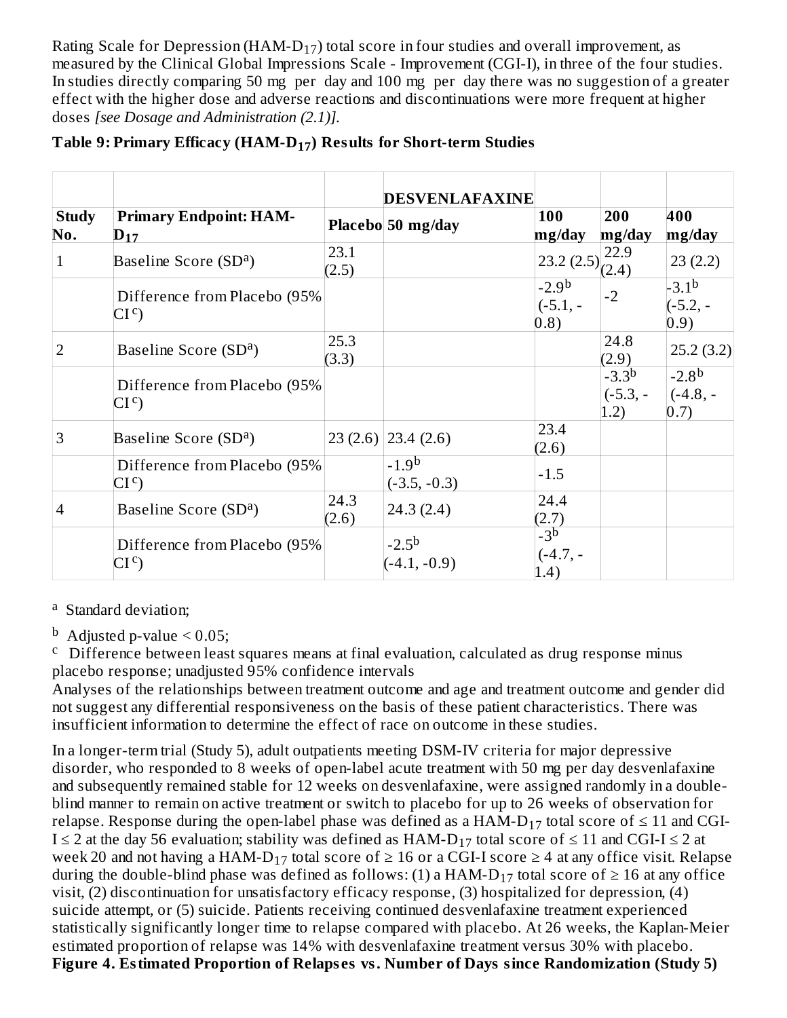Rating Scale for Depression (HAM-D $_{17}$ ) total score in four studies and overall improvement, as measured by the Clinical Global Impressions Scale - Improvement (CGI-I), in three of the four studies. In studies directly comparing 50 mg per day and 100 mg per day there was no suggestion of a greater effect with the higher dose and adverse reactions and discontinuations were more frequent at higher doses *[see Dosage and Administration (2.1)].*

|                |                                   |       | <b>DESVENLAFAXINE</b> |            |            |                |
|----------------|-----------------------------------|-------|-----------------------|------------|------------|----------------|
| <b>Study</b>   | <b>Primary Endpoint: HAM-</b>     |       |                       | 100        | 200        | 400            |
| No.            | $\mathbf{D_{17}}$                 |       | Placebo 50 mg/day     | mg/day     | mg/day     | mg/day         |
| $\mathbf 1$    | Baseline Score (SD <sup>a</sup> ) | 23.1  |                       | 23.2(2.5)  | 22.9       | 23(2.2)        |
|                |                                   | (2.5) |                       |            | (2.4)      |                |
|                | Difference from Placebo (95%)     |       |                       | $-2.9b$    | $-2$       | $-3.1^{\rm b}$ |
|                | CI <sup>c</sup>                   |       |                       | $(-5.1, -$ |            | $(-5.2, -$     |
|                |                                   |       |                       | (0.8)      |            | (0.9)          |
| $\overline{2}$ | Baseline Score (SD <sup>a</sup> ) | 25.3  |                       |            | 24.8       | 25.2(3.2)      |
|                |                                   | (3.3) |                       |            | (2.9)      |                |
|                | Difference from Placebo (95%      |       |                       |            | $-3.3b$    | $-2.8b$        |
|                | CI <sup>c</sup>                   |       |                       |            | $(-5.3, -$ | $(-4.8, -$     |
|                |                                   |       |                       |            | 1.2)       | 0.7)           |
| 3              | Baseline Score (SD <sup>a</sup> ) |       | $23(2.6)$ 23.4 (2.6)  | 23.4       |            |                |
|                |                                   |       |                       | (2.6)      |            |                |
|                | Difference from Placebo (95%      |       | $-1.9b$               | $-1.5$     |            |                |
|                | CI <sup>c</sup>                   |       | $(-3.5, -0.3)$        |            |            |                |
| $\overline{4}$ | Baseline Score (SD <sup>a</sup> ) | 24.3  | 24.3(2.4)             | 24.4       |            |                |
|                |                                   | (2.6) |                       | (2.7)      |            |                |
|                | Difference from Placebo (95%      |       | $-2.5^{b}$            | $-3b$      |            |                |
|                | CI <sup>c</sup>                   |       | $(-4.1, -0.9)$        | $(-4.7, -$ |            |                |
|                |                                   |       |                       | 1.4)       |            |                |

# **Table 9: Primary Efficacy (HAM-D ) Results for Short-term Studies 17**

<sup>a</sup> Standard deviation;

<sup>b</sup> Adjusted p-value  $\leq 0.05$ ;

 $\text{c}$  Difference between least squares means at final evaluation, calculated as drug response minus placebo response; unadjusted 95% confidence intervals

Analyses of the relationships between treatment outcome and age and treatment outcome and gender did not suggest any differential responsiveness on the basis of these patient characteristics. There was insufficient information to determine the effect of race on outcome in these studies.

In a longer-term trial (Study 5), adult outpatients meeting DSM-IV criteria for major depressive disorder, who responded to 8 weeks of open-label acute treatment with 50 mg per day desvenlafaxine and subsequently remained stable for 12 weeks on desvenlafaxine, were assigned randomly in a doubleblind manner to remain on active treatment or switch to placebo for up to 26 weeks of observation for relapse. Response during the open-label phase was defined as a  ${\rm HAM\text{-}D_{17}}$  total score of  $\leq 11$  and CGI-I  $\leq$  2 at the day 56 evaluation; stability was defined as  ${\rm HAM\text{-}D_{17}}$  total score of  $\leq$  11 and CGI-I  $\leq$  2 at week 20 and not having a HAM-D<sub>17</sub> total score of  $\geq 16$  or a CGI-I score  $\geq 4$  at any office visit. Relapse during the double-blind phase was defined as follows: (1) a  ${\rm HAM}\text{-}{\rm D}_{17}$  total score of  $\geq 16$  at any office visit, (2) discontinuation for unsatisfactory efficacy response, (3) hospitalized for depression, (4) suicide attempt, or (5) suicide. Patients receiving continued desvenlafaxine treatment experienced statistically significantly longer time to relapse compared with placebo. At 26 weeks, the Kaplan-Meier estimated proportion of relapse was 14% with desvenlafaxine treatment versus 30% with placebo. **Figure 4. Estimated Proportion of Relaps es vs. Number of Days since Randomization (Study 5)**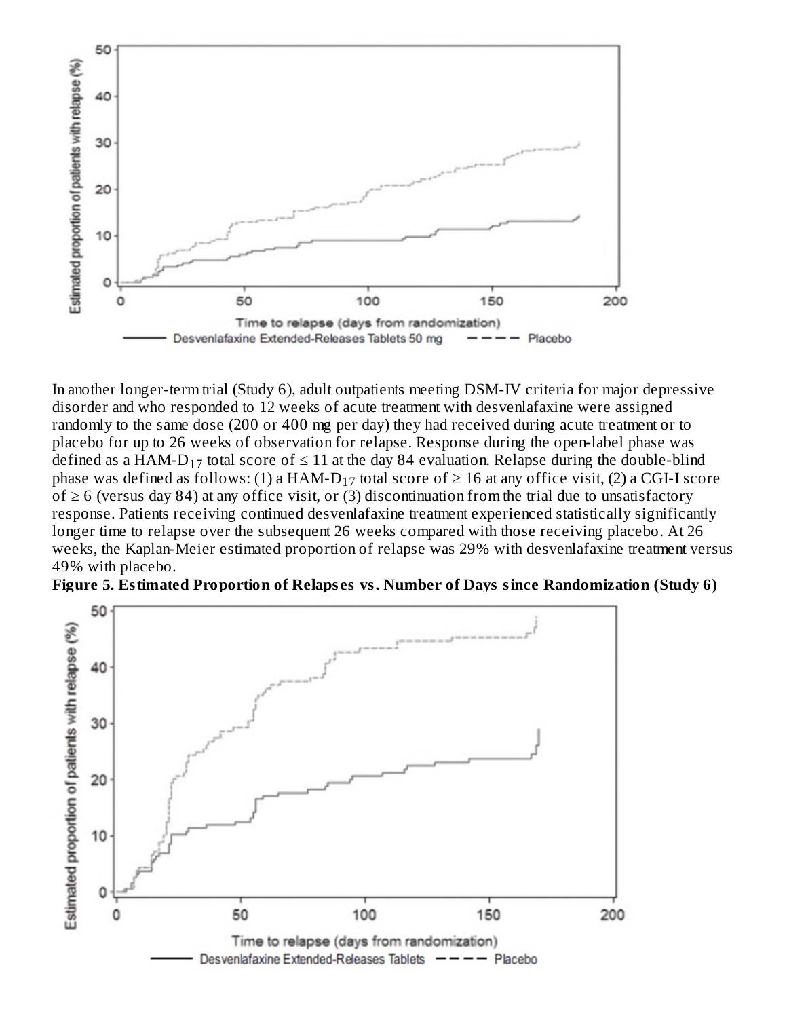

In another longer-term trial (Study 6), adult outpatients meeting DSM-IV criteria for major depressive disorder and who responded to 12 weeks of acute treatment with desvenlafaxine were assigned randomly to the same dose (200 or 400 mg per day) they had received during acute treatment or to placebo for up to 26 weeks of observation for relapse. Response during the open-label phase was defined as a HAM-D<sub>17</sub> total score of  $\leq 11$  at the day 84 evaluation. Relapse during the double-blind phase was defined as follows: (1) a HAM-D $_{17}$  total score of  $\geq 16$  at any office visit, (2) a CGI-I score of  $\geq$  6 (versus day 84) at any office visit, or (3) discontinuation from the trial due to unsatisfactory response. Patients receiving continued desvenlafaxine treatment experienced statistically significantly longer time to relapse over the subsequent 26 weeks compared with those receiving placebo. At 26 weeks, the Kaplan-Meier estimated proportion of relapse was 29% with desvenlafaxine treatment versus 49% with placebo.



**Figure 5. Estimated Proportion of Relaps es vs. Number of Days since Randomization (Study 6)**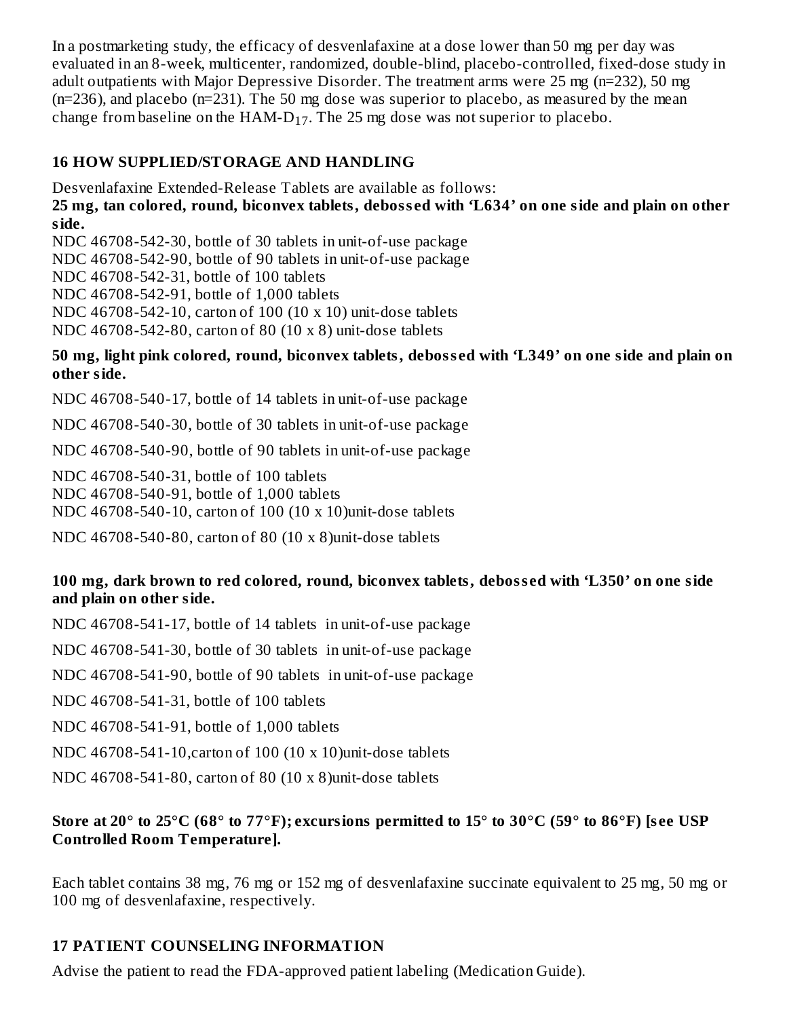In a postmarketing study, the efficacy of desvenlafaxine at a dose lower than 50 mg per day was evaluated in an 8-week, multicenter, randomized, double-blind, placebo-controlled, fixed-dose study in adult outpatients with Major Depressive Disorder. The treatment arms were 25 mg (n=232), 50 mg (n=236), and placebo (n=231). The 50 mg dose was superior to placebo, as measured by the mean change from baseline on the  $HAM-D_{17}$ . The 25 mg dose was not superior to placebo.

## **16 HOW SUPPLIED/STORAGE AND HANDLING**

Desvenlafaxine Extended-Release Tablets are available as follows:

**25 mg, tan colored, round, biconvex tablets, deboss ed with 'L634' on one side and plain on other side.**

NDC 46708-542-30, bottle of 30 tablets in unit-of-use package

NDC 46708-542-90, bottle of 90 tablets in unit-of-use package

NDC 46708-542-31, bottle of 100 tablets

NDC 46708-542-91, bottle of 1,000 tablets

NDC 46708-542-10, carton of 100 (10 x 10) unit-dose tablets

NDC 46708-542-80, carton of 80 (10 x 8) unit-dose tablets

#### **50 mg, light pink colored, round, biconvex tablets, deboss ed with 'L349' on one side and plain on other side.**

NDC 46708-540-17, bottle of 14 tablets in unit-of-use package

NDC 46708-540-30, bottle of 30 tablets in unit-of-use package

NDC 46708-540-90, bottle of 90 tablets in unit-of-use package

NDC 46708-540-31, bottle of 100 tablets NDC 46708-540-91, bottle of 1,000 tablets NDC 46708-540-10, carton of 100 (10 x 10)unit-dose tablets

NDC 46708-540-80, carton of 80 (10 x 8)unit-dose tablets

#### **100 mg, dark brown to red colored, round, biconvex tablets, deboss ed with 'L350' on one side and plain on other side.**

NDC 46708-541-17, bottle of 14 tablets in unit-of-use package

NDC 46708-541-30, bottle of 30 tablets in unit-of-use package

NDC 46708-541-90, bottle of 90 tablets in unit-of-use package

NDC 46708-541-31, bottle of 100 tablets

NDC 46708-541-91, bottle of 1,000 tablets

NDC 46708-541-10,carton of 100 (10 x 10)unit-dose tablets

NDC 46708-541-80, carton of 80 (10 x 8)unit-dose tablets

## Store at 20 $^{\circ}$  to 25 $^{\circ}$ C (68 $^{\circ}$  to 77 $^{\circ}$ F); excursions permitted to 15 $^{\circ}$  to 30 $^{\circ}$ C (59 $^{\circ}$  to 86 $^{\circ}$ F) [see USP **Controlled Room Temperature].**

Each tablet contains 38 mg, 76 mg or 152 mg of desvenlafaxine succinate equivalent to 25 mg, 50 mg or 100 mg of desvenlafaxine, respectively.

# **17 PATIENT COUNSELING INFORMATION**

Advise the patient to read the FDA-approved patient labeling (Medication Guide).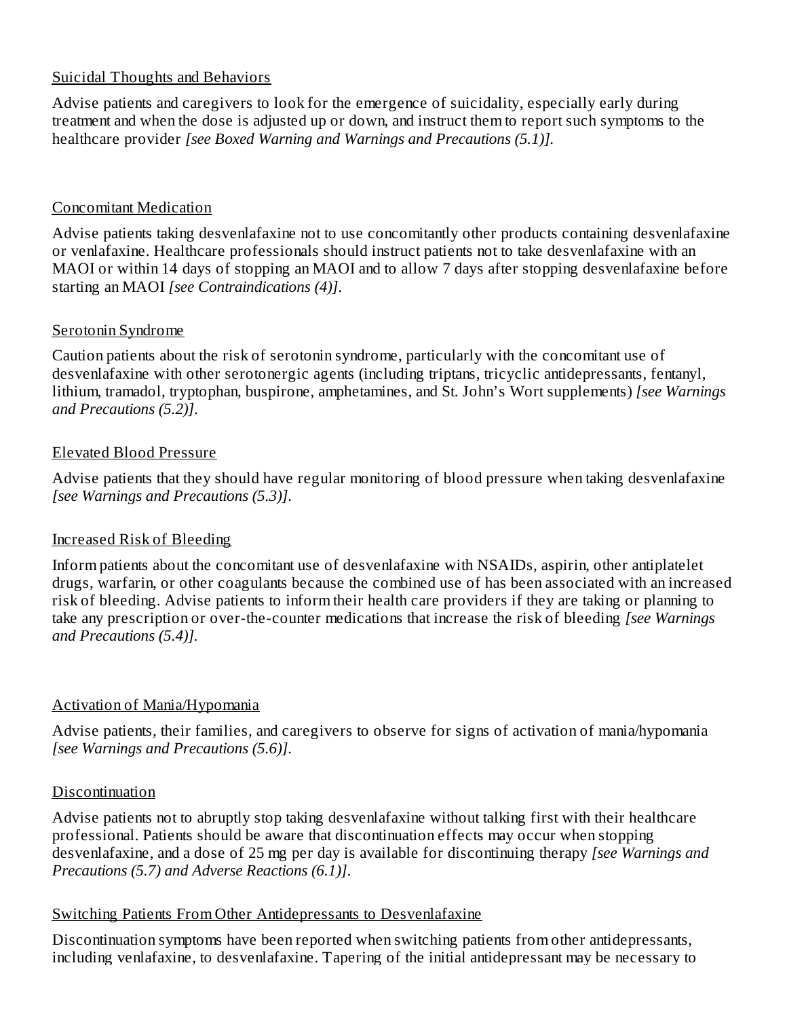#### Suicidal Thoughts and Behaviors

Advise patients and caregivers to look for the emergence of suicidality, especially early during treatment and when the dose is adjusted up or down, and instruct them to report such symptoms to the healthcare provider *[see Boxed Warning and Warnings and Precautions (5.1)].*

#### Concomitant Medication

Advise patients taking desvenlafaxine not to use concomitantly other products containing desvenlafaxine or venlafaxine. Healthcare professionals should instruct patients not to take desvenlafaxine with an MAOI or within 14 days of stopping an MAOI and to allow 7 days after stopping desvenlafaxine before starting an MAOI *[see Contraindications (4)]*.

#### Serotonin Syndrome

Caution patients about the risk of serotonin syndrome, particularly with the concomitant use of desvenlafaxine with other serotonergic agents (including triptans, tricyclic antidepressants, fentanyl, lithium, tramadol, tryptophan, buspirone, amphetamines, and St. John's Wort supplements) *[see Warnings and Precautions (5.2)]*.

#### Elevated Blood Pressure

Advise patients that they should have regular monitoring of blood pressure when taking desvenlafaxine *[see Warnings and Precautions (5.3)]*.

## Increased Risk of Bleeding

Inform patients about the concomitant use of desvenlafaxine with NSAIDs, aspirin, other antiplatelet drugs, warfarin, or other coagulants because the combined use of has been associated with an increased risk of bleeding. Advise patients to inform their health care providers if they are taking or planning to take any prescription or over-the-counter medications that increase the risk of bleeding *[see Warnings and Precautions (5.4)].*

## Activation of Mania/Hypomania

Advise patients, their families, and caregivers to observe for signs of activation of mania/hypomania *[see Warnings and Precautions (5.6)]*.

## **Discontinuation**

Advise patients not to abruptly stop taking desvenlafaxine without talking first with their healthcare professional. Patients should be aware that discontinuation effects may occur when stopping desvenlafaxine, and a dose of 25 mg per day is available for discontinuing therapy *[see Warnings and Precautions (5.7) and Adverse Reactions (6.1)]*.

## Switching Patients From Other Antidepressants to Desvenlafaxine

Discontinuation symptoms have been reported when switching patients from other antidepressants, including venlafaxine, to desvenlafaxine. Tapering of the initial antidepressant may be necessary to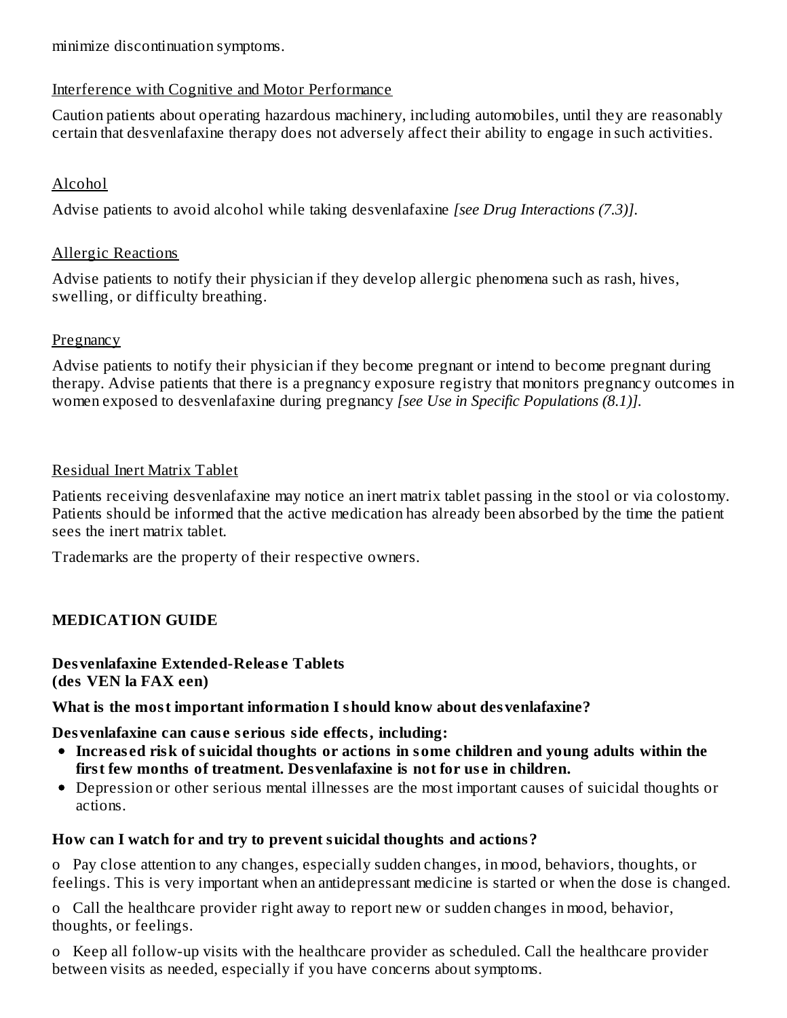minimize discontinuation symptoms.

## Interference with Cognitive and Motor Performance

Caution patients about operating hazardous machinery, including automobiles, until they are reasonably certain that desvenlafaxine therapy does not adversely affect their ability to engage in such activities.

## Alcohol

Advise patients to avoid alcohol while taking desvenlafaxine *[see Drug Interactions (7.3)]*.

## Allergic Reactions

Advise patients to notify their physician if they develop allergic phenomena such as rash, hives, swelling, or difficulty breathing.

## Pregnancy

Advise patients to notify their physician if they become pregnant or intend to become pregnant during therapy. Advise patients that there is a pregnancy exposure registry that monitors pregnancy outcomes in women exposed to desvenlafaxine during pregnancy *[see Use in Specific Populations (8.1)].*

## Residual Inert Matrix Tablet

Patients receiving desvenlafaxine may notice an inert matrix tablet passing in the stool or via colostomy. Patients should be informed that the active medication has already been absorbed by the time the patient sees the inert matrix tablet.

Trademarks are the property of their respective owners.

# **MEDICATION GUIDE**

#### **Desvenlafaxine Extended-Releas e Tablets (des VEN la FAX een)**

# **What is the most important information I should know about desvenlafaxine?**

**Desvenlafaxine can caus e s erious side effects, including:**

- **Increas ed risk of suicidal thoughts or actions in some children and young adults within the first few months of treatment. Desvenlafaxine is not for us e in children.**
- Depression or other serious mental illnesses are the most important causes of suicidal thoughts or actions.

# **How can I watch for and try to prevent suicidal thoughts and actions?**

o Pay close attention to any changes, especially sudden changes, in mood, behaviors, thoughts, or feelings. This is very important when an antidepressant medicine is started or when the dose is changed.

o Call the healthcare provider right away to report new or sudden changes in mood, behavior, thoughts, or feelings.

o Keep all follow-up visits with the healthcare provider as scheduled. Call the healthcare provider between visits as needed, especially if you have concerns about symptoms.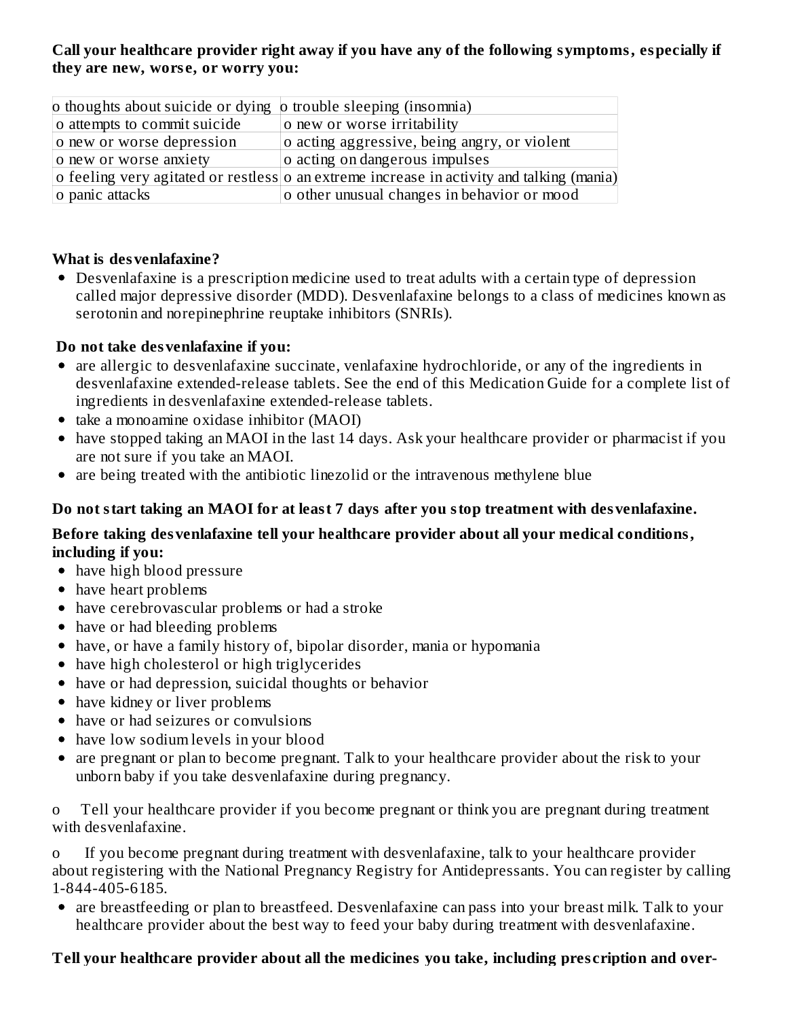## **Call your healthcare provider right away if you have any of the following symptoms, especially if they are new, wors e, or worry you:**

| o thoughts about suicide or dying to trouble sleeping (insomnia) |                                                                                           |
|------------------------------------------------------------------|-------------------------------------------------------------------------------------------|
| o attempts to commit suicide                                     | o new or worse irritability                                                               |
| o new or worse depression                                        | o acting aggressive, being angry, or violent                                              |
| o new or worse anxiety                                           | o acting on dangerous impulses                                                            |
|                                                                  | o feeling very agitated or restless o an extreme increase in activity and talking (mania) |
| o panic attacks                                                  | o other unusual changes in behavior or mood                                               |

## **What is desvenlafaxine?**

Desvenlafaxine is a prescription medicine used to treat adults with a certain type of depression called major depressive disorder (MDD). Desvenlafaxine belongs to a class of medicines known as serotonin and norepinephrine reuptake inhibitors (SNRIs).

## **Do not take desvenlafaxine if you:**

- are allergic to desvenlafaxine succinate, venlafaxine hydrochloride, or any of the ingredients in desvenlafaxine extended-release tablets. See the end of this Medication Guide for a complete list of ingredients in desvenlafaxine extended-release tablets.
- take a monoamine oxidase inhibitor (MAOI)
- have stopped taking an MAOI in the last 14 days. Ask your healthcare provider or pharmacist if you are not sure if you take an MAOI.
- are being treated with the antibiotic linezolid or the intravenous methylene blue

## **Do not start taking an MAOI for at least 7 days after you stop treatment with desvenlafaxine.**

#### **Before taking desvenlafaxine tell your healthcare provider about all your medical conditions, including if you:**

- have high blood pressure
- have heart problems
- have cerebrovascular problems or had a stroke
- have or had bleeding problems
- have, or have a family history of, bipolar disorder, mania or hypomania
- have high cholesterol or high triglycerides
- have or had depression, suicidal thoughts or behavior
- have kidney or liver problems
- have or had seizures or convulsions
- have low sodium levels in your blood
- are pregnant or plan to become pregnant. Talk to your healthcare provider about the risk to your unborn baby if you take desvenlafaxine during pregnancy.

o Tell your healthcare provider if you become pregnant or think you are pregnant during treatment with desvenlafaxine.

o If you become pregnant during treatment with desvenlafaxine, talk to your healthcare provider about registering with the National Pregnancy Registry for Antidepressants. You can register by calling 1-844-405-6185.

are breastfeeding or plan to breastfeed. Desvenlafaxine can pass into your breast milk. Talk to your healthcare provider about the best way to feed your baby during treatment with desvenlafaxine.

## **Tell your healthcare provider about all the medicines you take, including pres cription and over-**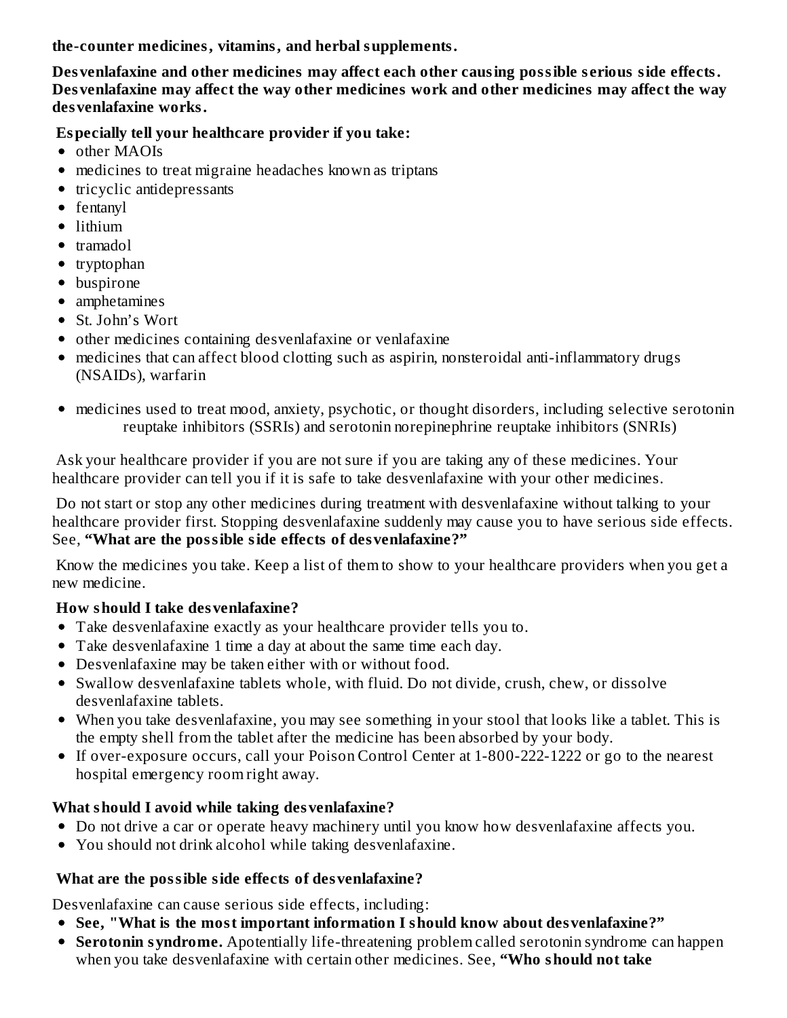**the-counter medicines, vitamins, and herbal supplements.**

**Desvenlafaxine and other medicines may affect each other causing possible s erious side effects. Desvenlafaxine may affect the way other medicines work and other medicines may affect the way desvenlafaxine works.**

## **Especially tell your healthcare provider if you take:**

- other MAOIs
- medicines to treat migraine headaches known as triptans
- tricyclic antidepressants
- fentanyl
- lithium
- $\bullet$  tramadol
- tryptophan
- buspirone
- amphetamines
- St. John's Wort
- other medicines containing desvenlafaxine or venlafaxine
- medicines that can affect blood clotting such as aspirin, nonsteroidal anti-inflammatory drugs (NSAIDs), warfarin
- medicines used to treat mood, anxiety, psychotic, or thought disorders, including selective serotonin reuptake inhibitors (SSRIs) and serotonin norepinephrine reuptake inhibitors (SNRIs)

Ask your healthcare provider if you are not sure if you are taking any of these medicines. Your healthcare provider can tell you if it is safe to take desvenlafaxine with your other medicines.

Do not start or stop any other medicines during treatment with desvenlafaxine without talking to your healthcare provider first. Stopping desvenlafaxine suddenly may cause you to have serious side effects. See, **"What are the possible side effects of desvenlafaxine?"**

Know the medicines you take. Keep a list of them to show to your healthcare providers when you get a new medicine.

# **How should I take desvenlafaxine?**

- Take desvenlafaxine exactly as your healthcare provider tells you to.
- Take desvenlafaxine 1 time a day at about the same time each day.
- Desvenlafaxine may be taken either with or without food.
- Swallow desvenlafaxine tablets whole, with fluid. Do not divide, crush, chew, or dissolve desvenlafaxine tablets.
- When you take desvenlafaxine, you may see something in your stool that looks like a tablet. This is the empty shell from the tablet after the medicine has been absorbed by your body.
- If over-exposure occurs, call your Poison Control Center at 1-800-222-1222 or go to the nearest hospital emergency room right away.

# **What should I avoid while taking desvenlafaxine?**

- Do not drive a car or operate heavy machinery until you know how desvenlafaxine affects you.
- You should not drink alcohol while taking desvenlafaxine.

# **What are the possible side effects of desvenlafaxine?**

Desvenlafaxine can cause serious side effects, including:

- **See, "What is the most important information I should know about desvenlafaxine?"**
- **Serotonin syndrome.** Apotentially life-threatening problem called serotonin syndrome can happen when you take desvenlafaxine with certain other medicines. See, **"Who should not take**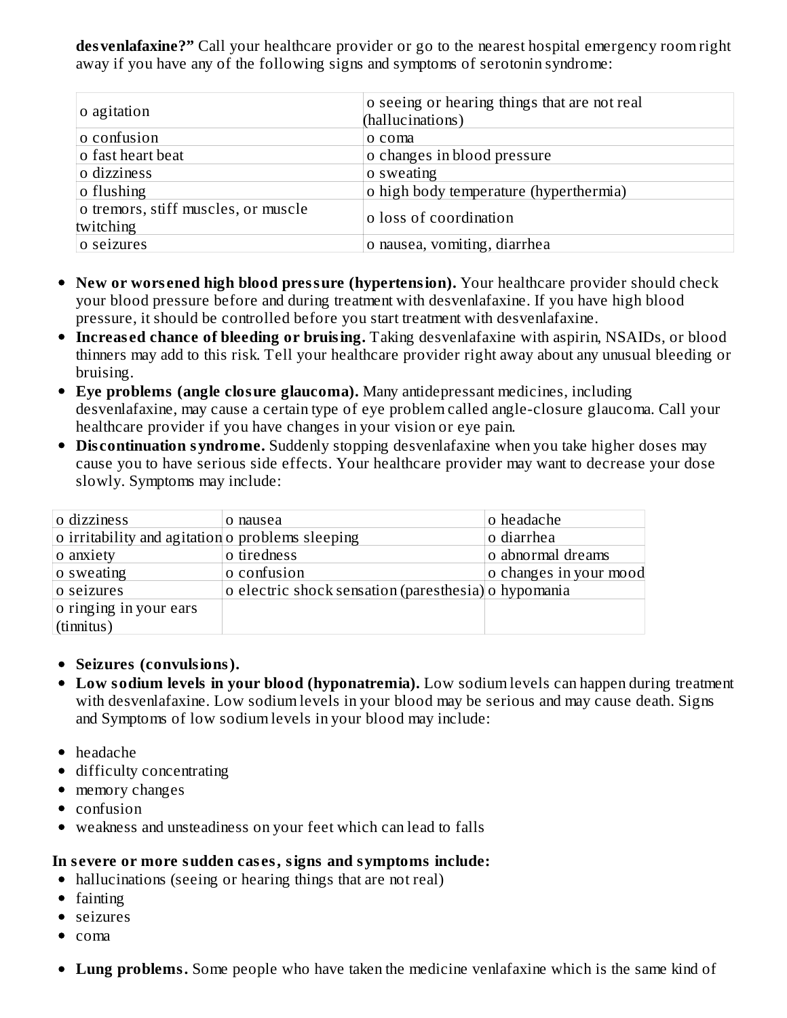**desvenlafaxine?"** Call your healthcare provider or go to the nearest hospital emergency room right away if you have any of the following signs and symptoms of serotonin syndrome:

| o agitation                                      | o seeing or hearing things that are not real<br>(hallucinations) |
|--------------------------------------------------|------------------------------------------------------------------|
| o confusion                                      | o coma                                                           |
| o fast heart beat                                | o changes in blood pressure                                      |
| o dizziness                                      | o sweating                                                       |
| o flushing                                       | o high body temperature (hyperthermia)                           |
| o tremors, stiff muscles, or muscle<br>twitching | o loss of coordination                                           |
| o seizures                                       | o nausea, vomiting, diarrhea                                     |

- **New or wors ened high blood pressure (hypertension).** Your healthcare provider should check your blood pressure before and during treatment with desvenlafaxine. If you have high blood pressure, it should be controlled before you start treatment with desvenlafaxine.
- **Increas ed chance of bleeding or bruising.** Taking desvenlafaxine with aspirin, NSAIDs, or blood thinners may add to this risk. Tell your healthcare provider right away about any unusual bleeding or bruising.
- **Eye problems (angle closure glaucoma).** Many antidepressant medicines, including desvenlafaxine, may cause a certain type of eye problem called angle-closure glaucoma. Call your healthcare provider if you have changes in your vision or eye pain.
- **Dis continuation syndrome.** Suddenly stopping desvenlafaxine when you take higher doses may cause you to have serious side effects. Your healthcare provider may want to decrease your dose slowly. Symptoms may include:

| o dizziness                                      | o nausea                                             | o headache             |
|--------------------------------------------------|------------------------------------------------------|------------------------|
| o irritability and agitation o problems sleeping |                                                      | o diarrhea             |
| o anxiety                                        | o tiredness                                          | o abnormal dreams      |
| o sweating                                       | o confusion                                          | o changes in your mood |
| o seizures                                       | o electric shock sensation (paresthesia) o hypomania |                        |
| o ringing in your ears                           |                                                      |                        |
| $($ tinnitus $)$                                 |                                                      |                        |

## **Seizures (convulsions).**

- **Low sodium levels in your blood (hyponatremia).** Low sodium levels can happen during treatment with desvenlafaxine. Low sodium levels in your blood may be serious and may cause death. Signs and Symptoms of low sodium levels in your blood may include:
- headache
- difficulty concentrating
- memory changes
- $\bullet$  confusion
- weakness and unsteadiness on your feet which can lead to falls

## **In s evere or more sudden cas es, signs and symptoms include:**

- hallucinations (seeing or hearing things that are not real)
- fainting
- seizures
- $\bullet$  coma
- **Lung problems.** Some people who have taken the medicine venlafaxine which is the same kind of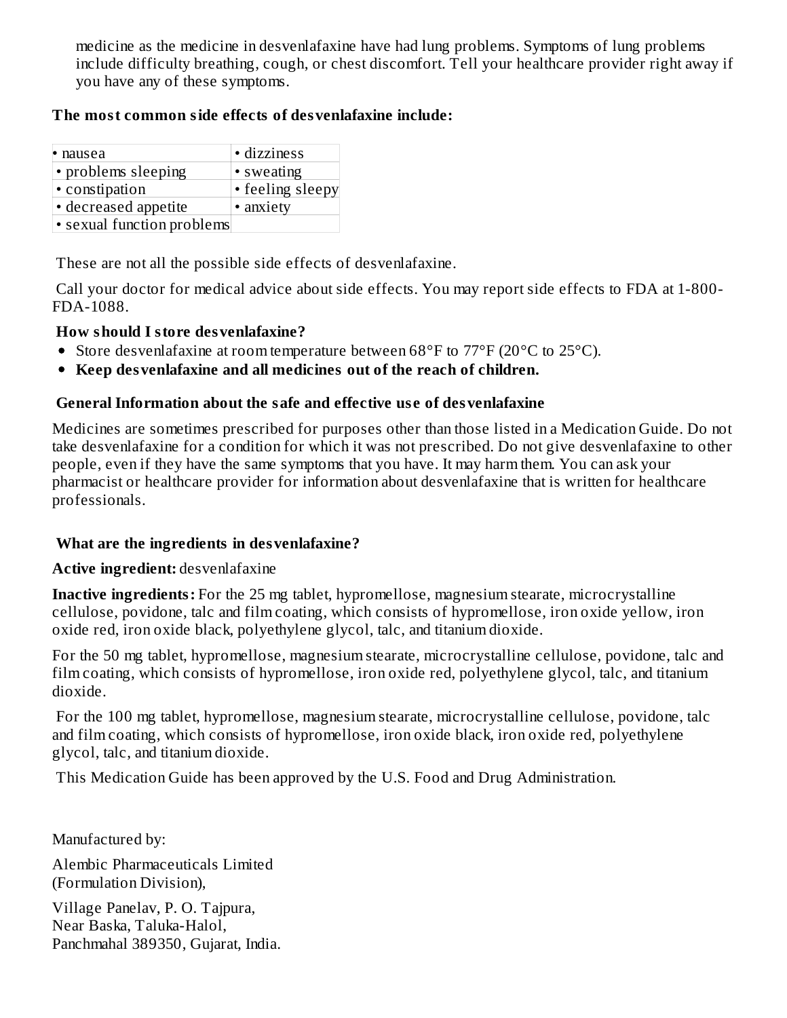medicine as the medicine in desvenlafaxine have had lung problems. Symptoms of lung problems include difficulty breathing, cough, or chest discomfort. Tell your healthcare provider right away if you have any of these symptoms.

#### **The most common side effects of desvenlafaxine include:**

| • nausea                   | · dizziness      |
|----------------------------|------------------|
| $\cdot$ problems sleeping  | • sweating       |
| • constipation             | • feeling sleepy |
| • decreased appetite       | • anxiety        |
| • sexual function problems |                  |

These are not all the possible side effects of desvenlafaxine.

Call your doctor for medical advice about side effects. You may report side effects to FDA at 1-800- FDA-1088.

#### **How should I store desvenlafaxine?**

- Store desvenlafaxine at room temperature between 68°F to 77°F (20°C to 25°C).
- **Keep desvenlafaxine and all medicines out of the reach of children.**

#### **General Information about the safe and effective us e of desvenlafaxine**

Medicines are sometimes prescribed for purposes other than those listed in a Medication Guide. Do not take desvenlafaxine for a condition for which it was not prescribed. Do not give desvenlafaxine to other people, even if they have the same symptoms that you have. It may harm them. You can ask your pharmacist or healthcare provider for information about desvenlafaxine that is written for healthcare professionals.

## **What are the ingredients in desvenlafaxine?**

#### **Active ingredient:** desvenlafaxine

**Inactive ingredients:** For the 25 mg tablet, hypromellose, magnesium stearate, microcrystalline cellulose, povidone, talc and film coating, which consists of hypromellose, iron oxide yellow, iron oxide red, iron oxide black, polyethylene glycol, talc, and titanium dioxide.

For the 50 mg tablet, hypromellose, magnesium stearate, microcrystalline cellulose, povidone, talc and film coating, which consists of hypromellose, iron oxide red, polyethylene glycol, talc, and titanium dioxide.

For the 100 mg tablet, hypromellose, magnesium stearate, microcrystalline cellulose, povidone, talc and film coating, which consists of hypromellose, iron oxide black, iron oxide red, polyethylene glycol, talc, and titanium dioxide.

This Medication Guide has been approved by the U.S. Food and Drug Administration.

Manufactured by:

Alembic Pharmaceuticals Limited (Formulation Division),

Village Panelav, P. O. Tajpura, Near Baska, Taluka-Halol, Panchmahal 389350, Gujarat, India.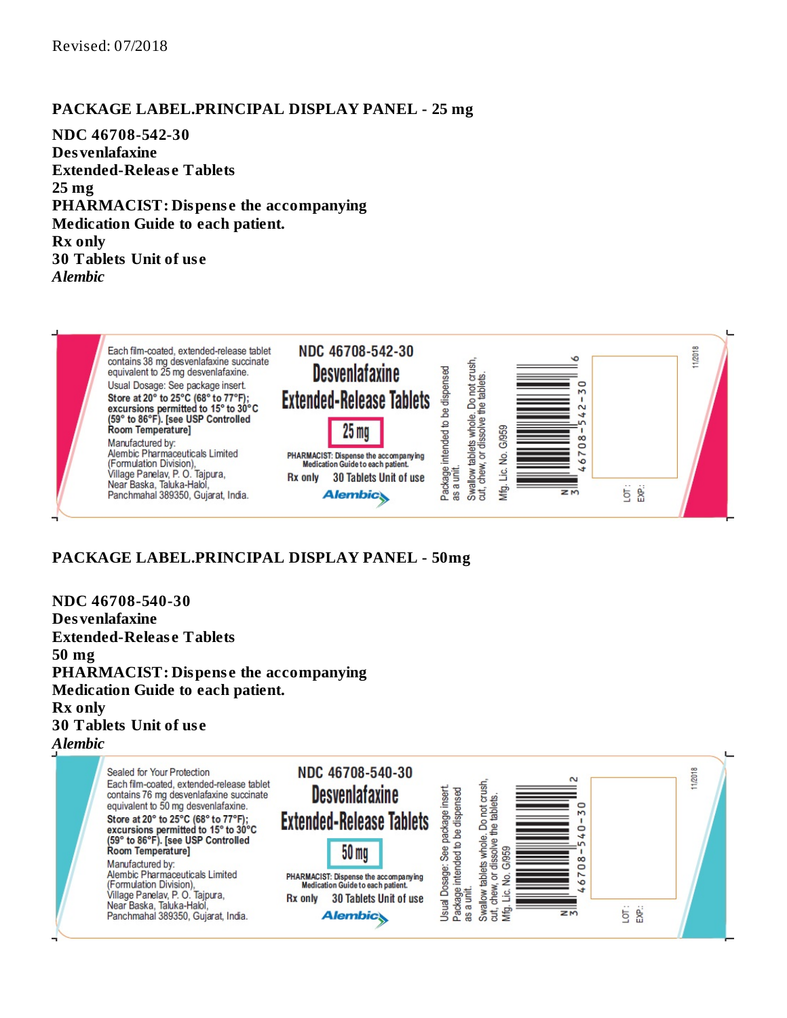#### **PACKAGE LABEL.PRINCIPAL DISPLAY PANEL - 25 mg**

**NDC 46708-542-30 Desvenlafaxine Extended-Releas e Tablets 25 mg PHARMACIST: Dispens e the accompanying Medication Guide to each patient. Rx only 30 Tablets Unit of us e** *Alembic*



## **PACKAGE LABEL.PRINCIPAL DISPLAY PANEL - 50mg**

**NDC 46708-540-30 Desvenlafaxine Extended-Releas e Tablets 50 mg PHARMACIST: Dispens e the accompanying Medication Guide to each patient. Rx only 30 Tablets Unit of us e** *Alembic*NDC 46708-540-30 Sealed for Your Protection  $1/2018$  $\sim$ Each film-coated, extended-release tablet Swallow tablets whole. Do not crush,<br>cut, chew, or dissolve the tablets.<br>Mfg. Lic. No. G959 **Desvenlafaxine** contains 76 mg desvenlafaxine succinate Package intended to be dispensed<br>as a unit. Jsual Dosage: See package inser equivalent to 50 mg desvenlafaxine.  $540 - 30$ Store at 20° to 25°C (68° to 77°F);<br>excursions permitted to 15° to 30°C<br>(59° to 86°F). [see USP Controlled **Extended-Release Tablets 50 mg** Room Temperature]  $46708 -$ Manufactured by: Alembic Pharmaceuticals Limited PHARMACIST: Dispense the accompanying (Formulation Division),<br>Village Panelav, P. O. Tajpura, Medication Guide to each patient 30 Tablets Unit of use **Rx** only Near Baska, Taluka-Halol, **Alembic**  $\overline{\mathsf{z}}$ m **b** & Panchmahal 389350, Gujarat, India.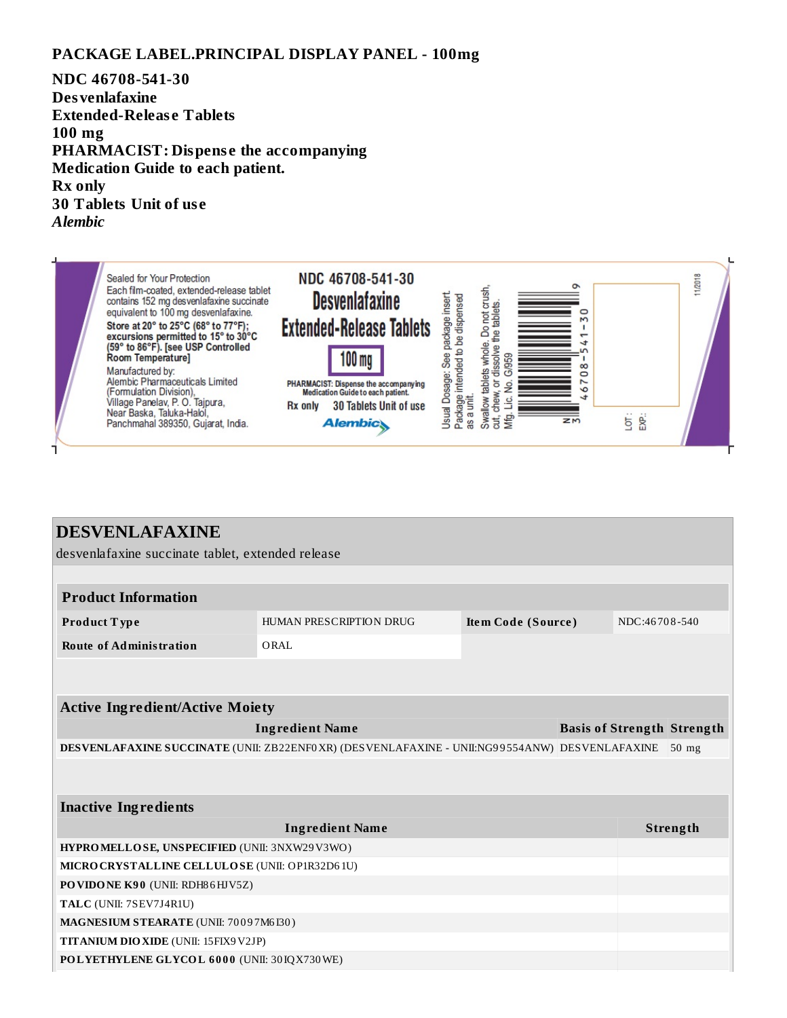## **PACKAGE LABEL.PRINCIPAL DISPLAY PANEL - 100mg**

**NDC 46708-541-30 Desvenlafaxine Extended-Releas e Tablets 100 mg PHARMACIST: Dispens e the accompanying Medication Guide to each patient. Rx only 30 Tablets Unit of us e** *Alembic*

| Sealed for Your Protection<br>Each film-coated, extended-release tablet<br>contains 152 mg desvenlafaxine succinate<br>equivalent to 100 mg desvenlafaxine.<br>Store at 20° to 25°C (68° to 77°F);<br>excursions permitted to 15° to 30°C<br>(59° to 86°F). [see USP Controlled<br>Room Temperature]<br>Manufactured by:<br>Alembic Pharmaceuticals Limited<br>(Formulation Division),<br>Village Panelav, P. O. Taipura,<br>Near Baska, Taluka-Halol,<br>Panchmahal 389350, Gujarat, India. |
|----------------------------------------------------------------------------------------------------------------------------------------------------------------------------------------------------------------------------------------------------------------------------------------------------------------------------------------------------------------------------------------------------------------------------------------------------------------------------------------------|
|----------------------------------------------------------------------------------------------------------------------------------------------------------------------------------------------------------------------------------------------------------------------------------------------------------------------------------------------------------------------------------------------------------------------------------------------------------------------------------------------|

| <b>DESVENLAFAXINE</b>                                                                                    |                         |                           |               |  |  |
|----------------------------------------------------------------------------------------------------------|-------------------------|---------------------------|---------------|--|--|
| desvenlafaxine succinate tablet, extended release                                                        |                         |                           |               |  |  |
|                                                                                                          |                         |                           |               |  |  |
| <b>Product Information</b>                                                                               |                         |                           |               |  |  |
| Product Type                                                                                             | HUMAN PRESCRIPTION DRUG | <b>Item Code (Source)</b> | NDC:46708-540 |  |  |
| <b>Route of Administration</b>                                                                           | ORAL                    |                           |               |  |  |
|                                                                                                          |                         |                           |               |  |  |
|                                                                                                          |                         |                           |               |  |  |
| <b>Active Ingredient/Active Moiety</b>                                                                   |                         |                           |               |  |  |
| <b>Basis of Strength Strength</b><br><b>Ingredient Name</b>                                              |                         |                           |               |  |  |
| DESVENLAFAXINE SUCCINATE (UNII: ZB22ENF0XR) (DESVENLAFAXINE - UNII:NG99554ANW) DESVENLAFAXINE<br>$50$ mg |                         |                           |               |  |  |
|                                                                                                          |                         |                           |               |  |  |
|                                                                                                          |                         |                           |               |  |  |
| <b>Inactive Ingredients</b>                                                                              |                         |                           |               |  |  |
|                                                                                                          | <b>Ingredient Name</b>  |                           | Strength      |  |  |
| HYPROMELLOSE, UNSPECIFIED (UNII: 3NXW29V3WO)                                                             |                         |                           |               |  |  |
| MICRO CRYSTALLINE CELLULO SE (UNII: OP1R32D61U)                                                          |                         |                           |               |  |  |
| PO VIDONE K90 (UNII: RDH86HJV5Z)                                                                         |                         |                           |               |  |  |
| TALC (UNII: 7SEV7J4R1U)                                                                                  |                         |                           |               |  |  |
| MAGNESIUM STEARATE (UNII: 70097M6I30)                                                                    |                         |                           |               |  |  |
| TITANIUM DIO XIDE (UNII: 15FIX9V2JP)                                                                     |                         |                           |               |  |  |
| POLYETHYLENE GLYCOL 6000 (UNII: 30IQX730WE)                                                              |                         |                           |               |  |  |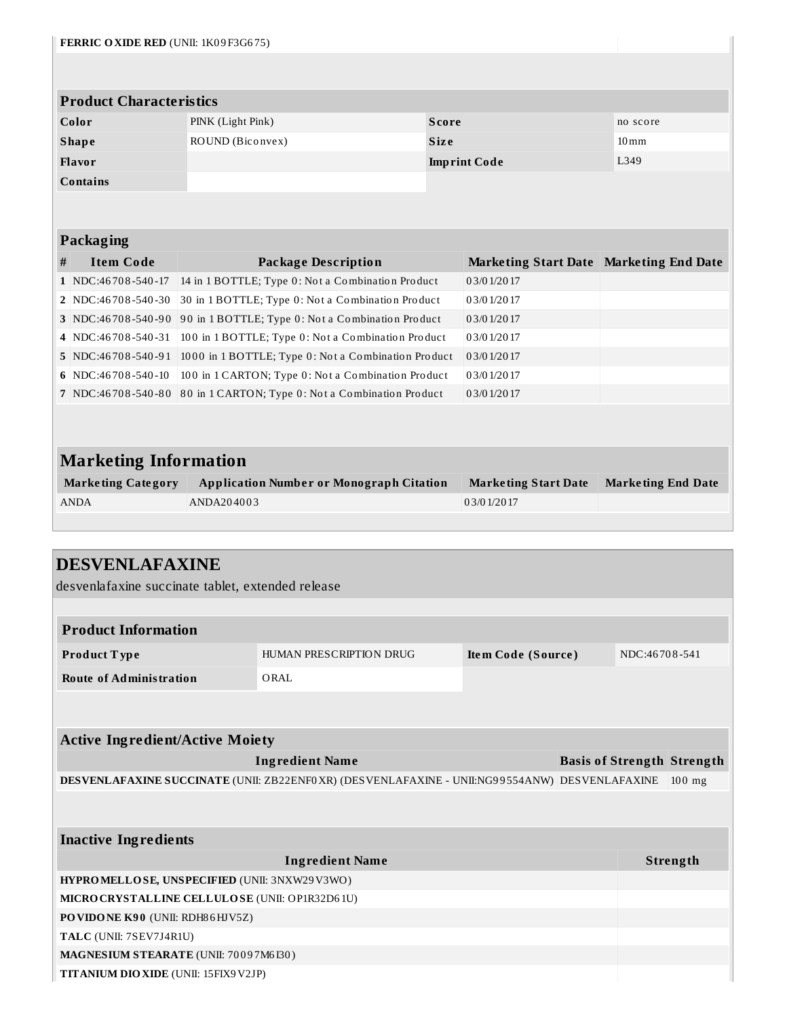| <b>FERRIC OXIDE RED (UNII: 1K09F3G675)</b> |  |
|--------------------------------------------|--|
|--------------------------------------------|--|

| <b>Product Characteristics</b> |                   |                     |                    |  |  |
|--------------------------------|-------------------|---------------------|--------------------|--|--|
| Color                          | PINK (Light Pink) | Score               | no score           |  |  |
| <b>Shape</b>                   | ROUND (Biconvex)  | <b>Size</b>         | $10 \,\mathrm{mm}$ |  |  |
| <b>Flavor</b>                  |                   | <b>Imprint Code</b> | L <sub>349</sub>   |  |  |
| <b>Contains</b>                |                   |                     |                    |  |  |

# **Packaging**

| # | <b>Item Code</b>   | <b>Package Description</b>                                             | Marketing Start Date Marketing End Date |  |
|---|--------------------|------------------------------------------------------------------------|-----------------------------------------|--|
|   | 1 NDC:46708-540-17 | 14 in 1 BOTTLE; Type 0: Not a Combination Product                      | 03/01/2017                              |  |
|   |                    | 2 NDC:46708-540-30 30 in 1 BOTTLE; Type 0: Not a Combination Product   | 03/01/2017                              |  |
|   |                    | 3 NDC:46708-540-90 90 in 1 BOTTLE; Type 0: Not a Combination Product   | 0 3/0 1/20 17                           |  |
|   |                    | 4 NDC:46708-540-31 100 in 1 BOTTLE; Type 0: Not a Combination Product  | 03/01/2017                              |  |
|   |                    | 5 NDC:46708-540-91 1000 in 1 BOTTLE; Type 0: Not a Combination Product | 03/01/2017                              |  |
|   |                    | 6 NDC:46708-540-10 100 in 1 CARTON; Type 0: Not a Combination Product  | 03/01/2017                              |  |
|   |                    | 7 NDC:46708-540-80 80 in 1 CARTON; Type 0: Not a Combination Product   | 03/01/2017                              |  |

# **Marketing Information**

| <b>Marketing Category</b> | <b>Application Number or Monograph Citation</b> | Marketing Start Date | Marketing End Date |
|---------------------------|-------------------------------------------------|----------------------|--------------------|
| <b>ANDA</b>               | ANDA204003                                      | 03/01/2017           |                    |

# **DESVENLAFAXINE**

desvenlafaxine succinate tablet, extended release

| <b>Product Information</b>                                                                    |                         |                    |  |               |                                   |
|-----------------------------------------------------------------------------------------------|-------------------------|--------------------|--|---------------|-----------------------------------|
| <b>Product Type</b>                                                                           | HUMAN PRESCRIPTION DRUG | Item Code (Source) |  | NDC:46708-541 |                                   |
| <b>Route of Administration</b>                                                                | ORAL                    |                    |  |               |                                   |
|                                                                                               |                         |                    |  |               |                                   |
| <b>Active Ingredient/Active Moiety</b>                                                        |                         |                    |  |               |                                   |
|                                                                                               | <b>Ingredient Name</b>  |                    |  |               | <b>Basis of Strength Strength</b> |
| DESVENLAFAXINE SUCCINATE (UNII: ZB22ENF0XR) (DESVENLAFAXINE - UNII:NG99554ANW) DESVENLAFAXINE |                         |                    |  | $100$ mg      |                                   |
|                                                                                               |                         |                    |  |               |                                   |
| <b>Inactive Ingredients</b>                                                                   |                         |                    |  |               |                                   |
|                                                                                               | <b>Ingredient Name</b>  |                    |  |               | Strength                          |
| HYPROMELLOSE, UNSPECIFIED (UNII: 3NXW29V3WO)                                                  |                         |                    |  |               |                                   |
| MICRO CRYSTALLINE CELLULO SE (UNII: OP1R32D61U)                                               |                         |                    |  |               |                                   |
| PO VIDO NE K90 (UNII: RDH86 HJV5Z)                                                            |                         |                    |  |               |                                   |
| TALC (UNII: 7SEV7J4R1U)                                                                       |                         |                    |  |               |                                   |
| MAGNESIUM STEARATE (UNII: 70097M6I30)                                                         |                         |                    |  |               |                                   |
| <b>TITANIUM DIO XIDE (UNII: 15FIX9 V2JP)</b>                                                  |                         |                    |  |               |                                   |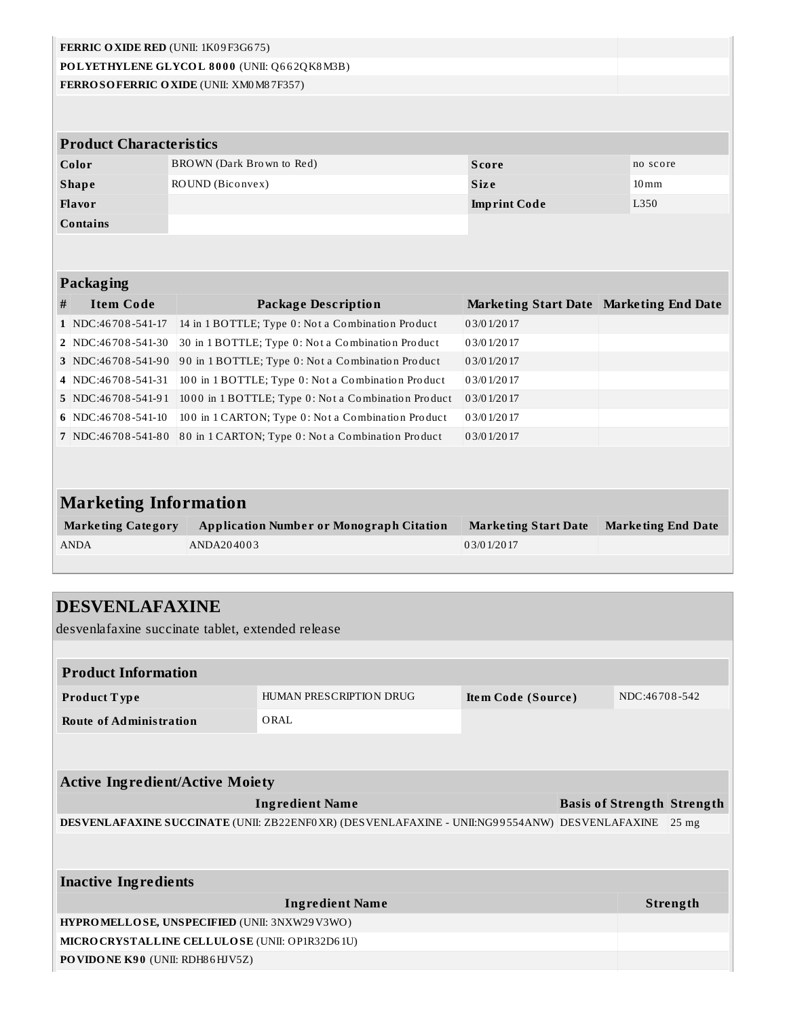| FERRIC OXIDE RED (UNII: 1K09F3G675)                                                   |                              |                                                                                                |                                         |                                   |  |
|---------------------------------------------------------------------------------------|------------------------------|------------------------------------------------------------------------------------------------|-----------------------------------------|-----------------------------------|--|
| POLYETHYLENE GLYCOL 8000 (UNII: Q662QK8M3B)                                           |                              |                                                                                                |                                         |                                   |  |
| FERROSOFERRIC OXIDE (UNII: XM0 M8 7F357)                                              |                              |                                                                                                |                                         |                                   |  |
|                                                                                       |                              |                                                                                                |                                         |                                   |  |
|                                                                                       |                              |                                                                                                |                                         |                                   |  |
| <b>Product Characteristics</b>                                                        |                              |                                                                                                |                                         |                                   |  |
| Color                                                                                 | BROWN (Dark Brown to Red)    |                                                                                                | <b>Score</b>                            | no score                          |  |
| <b>Shape</b>                                                                          | ROUND (Biconvex)             |                                                                                                | <b>Size</b>                             | $10 \,\mathrm{mm}$                |  |
| Flavor<br><b>Imprint Code</b>                                                         |                              |                                                                                                |                                         | L350                              |  |
| Contains                                                                              |                              |                                                                                                |                                         |                                   |  |
|                                                                                       |                              |                                                                                                |                                         |                                   |  |
|                                                                                       |                              |                                                                                                |                                         |                                   |  |
| <b>Packaging</b>                                                                      |                              |                                                                                                |                                         |                                   |  |
| <b>Item Code</b><br>#                                                                 |                              | <b>Package Description</b>                                                                     | Marketing Start Date Marketing End Date |                                   |  |
| 1 NDC:46708-541-17                                                                    |                              | 14 in 1 BOTTLE; Type 0: Not a Combination Product                                              | 03/01/2017                              |                                   |  |
| 2 NDC:46708-541-30                                                                    |                              | 30 in 1 BOTTLE; Type 0: Not a Combination Product                                              | 03/01/2017                              |                                   |  |
| 3 NDC:46708-541-90                                                                    |                              | 90 in 1 BOTTLE; Type 0: Not a Combination Product                                              | 03/01/2017                              |                                   |  |
| 4 NDC:46708-541-31                                                                    |                              | 100 in 1 BOTTLE; Type 0: Not a Combination Product                                             | 03/01/2017                              |                                   |  |
| 5 NDC:46708-541-91                                                                    |                              | 1000 in 1 BOTTLE; Type 0: Not a Combination Product                                            | 03/01/2017                              |                                   |  |
| 6 NDC:46708-541-10                                                                    |                              | 100 in 1 CARTON; Type 0: Not a Combination Product                                             | 03/01/2017                              |                                   |  |
| 7 NDC:46708-541-80                                                                    |                              | 80 in 1 CARTON; Type 0: Not a Combination Product                                              | 03/01/2017                              |                                   |  |
|                                                                                       |                              |                                                                                                |                                         |                                   |  |
|                                                                                       |                              |                                                                                                |                                         |                                   |  |
|                                                                                       |                              |                                                                                                |                                         |                                   |  |
|                                                                                       | <b>Marketing Information</b> |                                                                                                |                                         |                                   |  |
|                                                                                       |                              |                                                                                                |                                         |                                   |  |
| <b>Marketing Category</b>                                                             |                              | <b>Application Number or Monograph Citation</b>                                                | <b>Marketing Start Date</b>             | <b>Marketing End Date</b>         |  |
| <b>ANDA</b>                                                                           | ANDA204003                   |                                                                                                | 03/01/2017                              |                                   |  |
|                                                                                       |                              |                                                                                                |                                         |                                   |  |
|                                                                                       |                              |                                                                                                |                                         |                                   |  |
| <b>DESVENLAFAXINE</b>                                                                 |                              |                                                                                                |                                         |                                   |  |
| desvenlafaxine succinate tablet, extended release                                     |                              |                                                                                                |                                         |                                   |  |
|                                                                                       |                              |                                                                                                |                                         |                                   |  |
| <b>Product Information</b>                                                            |                              |                                                                                                |                                         |                                   |  |
| Product Type                                                                          |                              | HUMAN PRESCRIPTION DRUG                                                                        | Item Code (Source)                      | NDC:46708-542                     |  |
|                                                                                       |                              |                                                                                                |                                         |                                   |  |
| <b>Route of Administration</b>                                                        |                              | ORAL                                                                                           |                                         |                                   |  |
|                                                                                       |                              |                                                                                                |                                         |                                   |  |
|                                                                                       |                              |                                                                                                |                                         |                                   |  |
| <b>Active Ingredient/Active Moiety</b>                                                |                              |                                                                                                |                                         |                                   |  |
|                                                                                       |                              | <b>Ingredient Name</b>                                                                         |                                         | <b>Basis of Strength Strength</b> |  |
|                                                                                       |                              | DESVENLAFAXINE SUCCINATE (UNII: ZB22ENF0 XR) (DESVENLAFAXINE - UNII:NG99554ANW) DESVENLAFAXINE |                                         | $25 \text{ mg}$                   |  |
|                                                                                       |                              |                                                                                                |                                         |                                   |  |
|                                                                                       |                              |                                                                                                |                                         |                                   |  |
| <b>Inactive Ingredients</b>                                                           |                              |                                                                                                |                                         |                                   |  |
|                                                                                       |                              | <b>Ingredient Name</b>                                                                         |                                         | Strength                          |  |
| HYPROMELLOSE, UNSPECIFIED (UNII: 3NXW29V3WO)                                          |                              |                                                                                                |                                         |                                   |  |
| MICRO CRYSTALLINE CELLULO SE (UNII: OP1R32D61U)<br>PO VIDO NE K90 (UNII: RDH86 HJV5Z) |                              |                                                                                                |                                         |                                   |  |